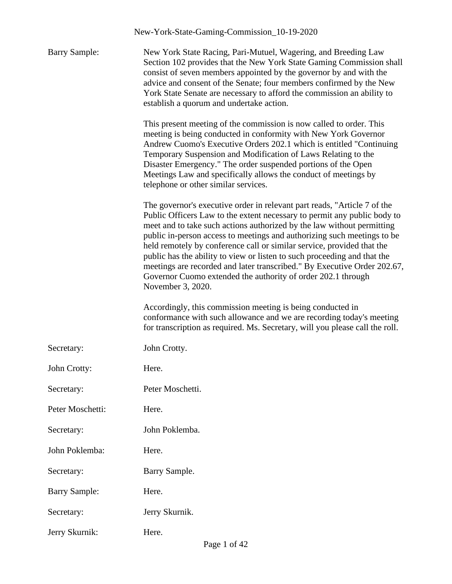|                      | New-York-State-Gaming-Commission_10-19-2020                                                                                                                                                                                                                                                                                                                                                                                                                                                                                                                                                                                      |
|----------------------|----------------------------------------------------------------------------------------------------------------------------------------------------------------------------------------------------------------------------------------------------------------------------------------------------------------------------------------------------------------------------------------------------------------------------------------------------------------------------------------------------------------------------------------------------------------------------------------------------------------------------------|
| <b>Barry Sample:</b> | New York State Racing, Pari-Mutuel, Wagering, and Breeding Law<br>Section 102 provides that the New York State Gaming Commission shall<br>consist of seven members appointed by the governor by and with the<br>advice and consent of the Senate; four members confirmed by the New<br>York State Senate are necessary to afford the commission an ability to<br>establish a quorum and undertake action.                                                                                                                                                                                                                        |
|                      | This present meeting of the commission is now called to order. This<br>meeting is being conducted in conformity with New York Governor<br>Andrew Cuomo's Executive Orders 202.1 which is entitled "Continuing<br>Temporary Suspension and Modification of Laws Relating to the<br>Disaster Emergency." The order suspended portions of the Open<br>Meetings Law and specifically allows the conduct of meetings by<br>telephone or other similar services.                                                                                                                                                                       |
|                      | The governor's executive order in relevant part reads, "Article 7 of the<br>Public Officers Law to the extent necessary to permit any public body to<br>meet and to take such actions authorized by the law without permitting<br>public in-person access to meetings and authorizing such meetings to be<br>held remotely by conference call or similar service, provided that the<br>public has the ability to view or listen to such proceeding and that the<br>meetings are recorded and later transcribed." By Executive Order 202.67,<br>Governor Cuomo extended the authority of order 202.1 through<br>November 3, 2020. |
|                      | Accordingly, this commission meeting is being conducted in<br>conformance with such allowance and we are recording today's meeting<br>for transcription as required. Ms. Secretary, will you please call the roll.                                                                                                                                                                                                                                                                                                                                                                                                               |
| Secretary:           | John Crotty.                                                                                                                                                                                                                                                                                                                                                                                                                                                                                                                                                                                                                     |
| John Crotty:         | Here.                                                                                                                                                                                                                                                                                                                                                                                                                                                                                                                                                                                                                            |
| Secretary:           | Peter Moschetti.                                                                                                                                                                                                                                                                                                                                                                                                                                                                                                                                                                                                                 |
| Peter Moschetti:     | Here.                                                                                                                                                                                                                                                                                                                                                                                                                                                                                                                                                                                                                            |
| Secretary:           | John Poklemba.                                                                                                                                                                                                                                                                                                                                                                                                                                                                                                                                                                                                                   |
| John Poklemba:       | Here.                                                                                                                                                                                                                                                                                                                                                                                                                                                                                                                                                                                                                            |
| Secretary:           | Barry Sample.                                                                                                                                                                                                                                                                                                                                                                                                                                                                                                                                                                                                                    |
| <b>Barry Sample:</b> | Here.                                                                                                                                                                                                                                                                                                                                                                                                                                                                                                                                                                                                                            |
| Secretary:           | Jerry Skurnik.                                                                                                                                                                                                                                                                                                                                                                                                                                                                                                                                                                                                                   |
| Jerry Skurnik:       | Here.                                                                                                                                                                                                                                                                                                                                                                                                                                                                                                                                                                                                                            |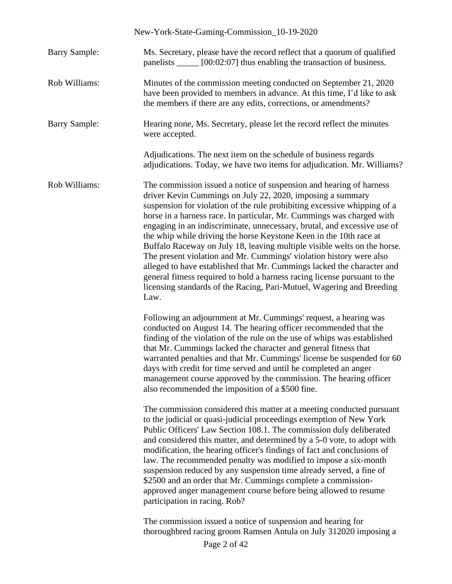|                      | New-York-State-Gaming-Commission_10-19-2020                                                                                                                                                                                                                                                                                                                                                                                                                                                                                                                                                                                                                                                                                                                                                                                         |
|----------------------|-------------------------------------------------------------------------------------------------------------------------------------------------------------------------------------------------------------------------------------------------------------------------------------------------------------------------------------------------------------------------------------------------------------------------------------------------------------------------------------------------------------------------------------------------------------------------------------------------------------------------------------------------------------------------------------------------------------------------------------------------------------------------------------------------------------------------------------|
| <b>Barry Sample:</b> | Ms. Secretary, please have the record reflect that a quorum of qualified<br>panelists ______ [00:02:07] thus enabling the transaction of business.                                                                                                                                                                                                                                                                                                                                                                                                                                                                                                                                                                                                                                                                                  |
| Rob Williams:        | Minutes of the commission meeting conducted on September 21, 2020<br>have been provided to members in advance. At this time, I'd like to ask<br>the members if there are any edits, corrections, or amendments?                                                                                                                                                                                                                                                                                                                                                                                                                                                                                                                                                                                                                     |
| <b>Barry Sample:</b> | Hearing none, Ms. Secretary, please let the record reflect the minutes<br>were accepted.                                                                                                                                                                                                                                                                                                                                                                                                                                                                                                                                                                                                                                                                                                                                            |
|                      | Adjudications. The next item on the schedule of business regards<br>adjudications. Today, we have two items for adjudication. Mr. Williams?                                                                                                                                                                                                                                                                                                                                                                                                                                                                                                                                                                                                                                                                                         |
| Rob Williams:        | The commission issued a notice of suspension and hearing of harness<br>driver Kevin Cummings on July 22, 2020, imposing a summary<br>suspension for violation of the rule prohibiting excessive whipping of a<br>horse in a harness race. In particular, Mr. Cummings was charged with<br>engaging in an indiscriminate, unnecessary, brutal, and excessive use of<br>the whip while driving the horse Keystone Keen in the 10th race at<br>Buffalo Raceway on July 18, leaving multiple visible welts on the horse.<br>The present violation and Mr. Cummings' violation history were also<br>alleged to have established that Mr. Cummings lacked the character and<br>general fitness required to hold a harness racing license pursuant to the<br>licensing standards of the Racing, Pari-Mutuel, Wagering and Breeding<br>Law. |
|                      | Following an adjournment at Mr. Cummings' request, a hearing was<br>conducted on August 14. The hearing officer recommended that the<br>finding of the violation of the rule on the use of whips was established<br>that Mr. Cummings lacked the character and general fitness that<br>warranted penalties and that Mr. Cummings' license be suspended for 60<br>days with credit for time served and until he completed an anger<br>management course approved by the commission. The hearing officer<br>also recommended the imposition of a \$500 fine.                                                                                                                                                                                                                                                                          |
|                      | The commission considered this matter at a meeting conducted pursuant<br>to the judicial or quasi-judicial proceedings exemption of New York<br>Public Officers' Law Section 108.1. The commission duly deliberated<br>and considered this matter, and determined by a 5-0 vote, to adopt with<br>modification, the hearing officer's findings of fact and conclusions of<br>law. The recommended penalty was modified to impose a six-month<br>suspension reduced by any suspension time already served, a fine of<br>\$2500 and an order that Mr. Cummings complete a commission-<br>approved anger management course before being allowed to resume<br>participation in racing. Rob?                                                                                                                                             |
|                      | The commission issued a notice of suspension and hearing for<br>thoroughbred racing groom Ramsen Antula on July 312020 imposing a                                                                                                                                                                                                                                                                                                                                                                                                                                                                                                                                                                                                                                                                                                   |

Page 2 of 42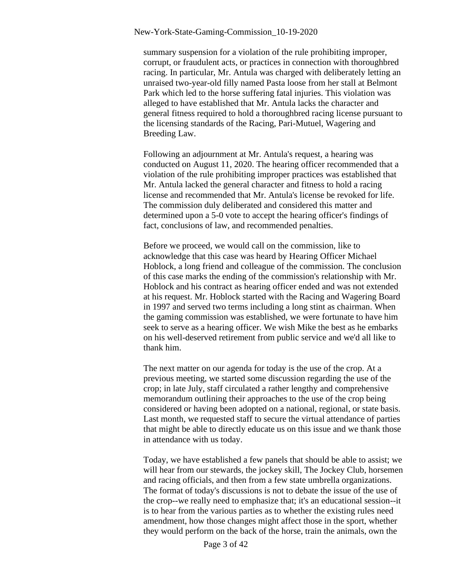summary suspension for a violation of the rule prohibiting improper, corrupt, or fraudulent acts, or practices in connection with thoroughbred racing. In particular, Mr. Antula was charged with deliberately letting an unraised two-year-old filly named Pasta loose from her stall at Belmont Park which led to the horse suffering fatal injuries. This violation was alleged to have established that Mr. Antula lacks the character and general fitness required to hold a thoroughbred racing license pursuant to the licensing standards of the Racing, Pari-Mutuel, Wagering and Breeding Law.

Following an adjournment at Mr. Antula's request, a hearing was conducted on August 11, 2020. The hearing officer recommended that a violation of the rule prohibiting improper practices was established that Mr. Antula lacked the general character and fitness to hold a racing license and recommended that Mr. Antula's license be revoked for life. The commission duly deliberated and considered this matter and determined upon a 5-0 vote to accept the hearing officer's findings of fact, conclusions of law, and recommended penalties.

Before we proceed, we would call on the commission, like to acknowledge that this case was heard by Hearing Officer Michael Hoblock, a long friend and colleague of the commission. The conclusion of this case marks the ending of the commission's relationship with Mr. Hoblock and his contract as hearing officer ended and was not extended at his request. Mr. Hoblock started with the Racing and Wagering Board in 1997 and served two terms including a long stint as chairman. When the gaming commission was established, we were fortunate to have him seek to serve as a hearing officer. We wish Mike the best as he embarks on his well-deserved retirement from public service and we'd all like to thank him.

The next matter on our agenda for today is the use of the crop. At a previous meeting, we started some discussion regarding the use of the crop; in late July, staff circulated a rather lengthy and comprehensive memorandum outlining their approaches to the use of the crop being considered or having been adopted on a national, regional, or state basis. Last month, we requested staff to secure the virtual attendance of parties that might be able to directly educate us on this issue and we thank those in attendance with us today.

Today, we have established a few panels that should be able to assist; we will hear from our stewards, the jockey skill, The Jockey Club, horsemen and racing officials, and then from a few state umbrella organizations. The format of today's discussions is not to debate the issue of the use of the crop--we really need to emphasize that; it's an educational session--it is to hear from the various parties as to whether the existing rules need amendment, how those changes might affect those in the sport, whether they would perform on the back of the horse, train the animals, own the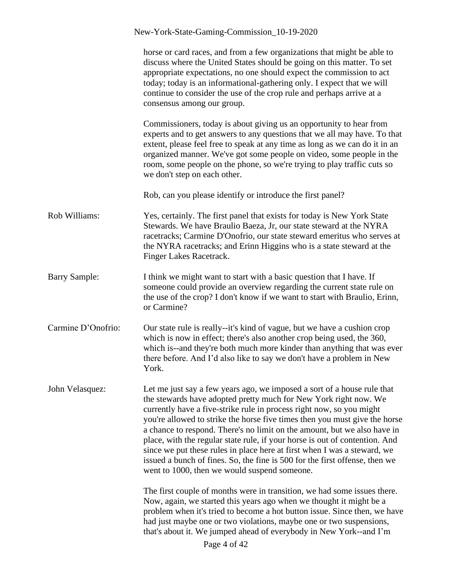|                      | New-York-State-Gaming-Commission_10-19-2020                                                                                                                                                                                                                                                                                                                                                                                                                                                                                                                                                                                                                             |
|----------------------|-------------------------------------------------------------------------------------------------------------------------------------------------------------------------------------------------------------------------------------------------------------------------------------------------------------------------------------------------------------------------------------------------------------------------------------------------------------------------------------------------------------------------------------------------------------------------------------------------------------------------------------------------------------------------|
|                      | horse or card races, and from a few organizations that might be able to<br>discuss where the United States should be going on this matter. To set<br>appropriate expectations, no one should expect the commission to act<br>today; today is an informational-gathering only. I expect that we will<br>continue to consider the use of the crop rule and perhaps arrive at a<br>consensus among our group.                                                                                                                                                                                                                                                              |
|                      | Commissioners, today is about giving us an opportunity to hear from<br>experts and to get answers to any questions that we all may have. To that<br>extent, please feel free to speak at any time as long as we can do it in an<br>organized manner. We've got some people on video, some people in the<br>room, some people on the phone, so we're trying to play traffic cuts so<br>we don't step on each other.                                                                                                                                                                                                                                                      |
|                      | Rob, can you please identify or introduce the first panel?                                                                                                                                                                                                                                                                                                                                                                                                                                                                                                                                                                                                              |
| Rob Williams:        | Yes, certainly. The first panel that exists for today is New York State<br>Stewards. We have Braulio Baeza, Jr, our state steward at the NYRA<br>racetracks; Carmine D'Onofrio, our state steward emeritus who serves at<br>the NYRA racetracks; and Erinn Higgins who is a state steward at the<br>Finger Lakes Racetrack.                                                                                                                                                                                                                                                                                                                                             |
| <b>Barry Sample:</b> | I think we might want to start with a basic question that I have. If<br>someone could provide an overview regarding the current state rule on<br>the use of the crop? I don't know if we want to start with Braulio, Erinn,<br>or Carmine?                                                                                                                                                                                                                                                                                                                                                                                                                              |
| Carmine D'Onofrio:   | Our state rule is really--it's kind of vague, but we have a cushion crop<br>which is now in effect; there's also another crop being used, the 360,<br>which is--and they're both much more kinder than anything that was ever<br>there before. And I'd also like to say we don't have a problem in New<br>York.                                                                                                                                                                                                                                                                                                                                                         |
| John Velasquez:      | Let me just say a few years ago, we imposed a sort of a house rule that<br>the stewards have adopted pretty much for New York right now. We<br>currently have a five-strike rule in process right now, so you might<br>you're allowed to strike the horse five times then you must give the horse<br>a chance to respond. There's no limit on the amount, but we also have in<br>place, with the regular state rule, if your horse is out of contention. And<br>since we put these rules in place here at first when I was a steward, we<br>issued a bunch of fines. So, the fine is 500 for the first offense, then we<br>went to 1000, then we would suspend someone. |
|                      | The first couple of months were in transition, we had some issues there.<br>Now, again, we started this years ago when we thought it might be a<br>problem when it's tried to become a hot button issue. Since then, we have<br>had just maybe one or two violations, maybe one or two suspensions,<br>that's about it. We jumped ahead of everybody in New York--and I'm<br>Page 4 of 42                                                                                                                                                                                                                                                                               |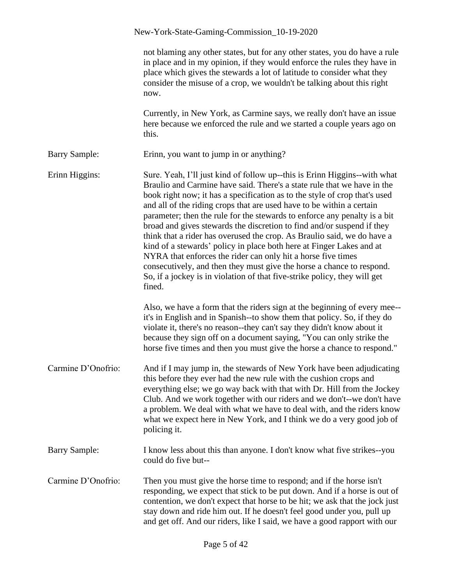|                      | New-York-State-Gaming-Commission_10-19-2020                                                                                                                                                                                                                                                                                                                                                                                                                                                                                                                                                                                                                                                                                                                                                                                                           |
|----------------------|-------------------------------------------------------------------------------------------------------------------------------------------------------------------------------------------------------------------------------------------------------------------------------------------------------------------------------------------------------------------------------------------------------------------------------------------------------------------------------------------------------------------------------------------------------------------------------------------------------------------------------------------------------------------------------------------------------------------------------------------------------------------------------------------------------------------------------------------------------|
|                      | not blaming any other states, but for any other states, you do have a rule<br>in place and in my opinion, if they would enforce the rules they have in<br>place which gives the stewards a lot of latitude to consider what they<br>consider the misuse of a crop, we wouldn't be talking about this right<br>now.                                                                                                                                                                                                                                                                                                                                                                                                                                                                                                                                    |
|                      | Currently, in New York, as Carmine says, we really don't have an issue<br>here because we enforced the rule and we started a couple years ago on<br>this.                                                                                                                                                                                                                                                                                                                                                                                                                                                                                                                                                                                                                                                                                             |
| <b>Barry Sample:</b> | Erinn, you want to jump in or anything?                                                                                                                                                                                                                                                                                                                                                                                                                                                                                                                                                                                                                                                                                                                                                                                                               |
| Erinn Higgins:       | Sure. Yeah, I'll just kind of follow up--this is Erinn Higgins--with what<br>Braulio and Carmine have said. There's a state rule that we have in the<br>book right now; it has a specification as to the style of crop that's used<br>and all of the riding crops that are used have to be within a certain<br>parameter; then the rule for the stewards to enforce any penalty is a bit<br>broad and gives stewards the discretion to find and/or suspend if they<br>think that a rider has overused the crop. As Braulio said, we do have a<br>kind of a stewards' policy in place both here at Finger Lakes and at<br>NYRA that enforces the rider can only hit a horse five times<br>consecutively, and then they must give the horse a chance to respond.<br>So, if a jockey is in violation of that five-strike policy, they will get<br>fined. |
|                      | Also, we have a form that the riders sign at the beginning of every mee--<br>it's in English and in Spanish--to show them that policy. So, if they do<br>violate it, there's no reason--they can't say they didn't know about it<br>because they sign off on a document saying, "You can only strike the<br>horse five times and then you must give the horse a chance to respond."                                                                                                                                                                                                                                                                                                                                                                                                                                                                   |
| Carmine D'Onofrio:   | And if I may jump in, the stewards of New York have been adjudicating<br>this before they ever had the new rule with the cushion crops and<br>everything else; we go way back with that with Dr. Hill from the Jockey<br>Club. And we work together with our riders and we don't--we don't have<br>a problem. We deal with what we have to deal with, and the riders know<br>what we expect here in New York, and I think we do a very good job of<br>policing it.                                                                                                                                                                                                                                                                                                                                                                                    |
| <b>Barry Sample:</b> | I know less about this than anyone. I don't know what five strikes--you<br>could do five but--                                                                                                                                                                                                                                                                                                                                                                                                                                                                                                                                                                                                                                                                                                                                                        |
| Carmine D'Onofrio:   | Then you must give the horse time to respond; and if the horse isn't<br>responding, we expect that stick to be put down. And if a horse is out of<br>contention, we don't expect that horse to be hit; we ask that the jock just<br>stay down and ride him out. If he doesn't feel good under you, pull up<br>and get off. And our riders, like I said, we have a good rapport with our                                                                                                                                                                                                                                                                                                                                                                                                                                                               |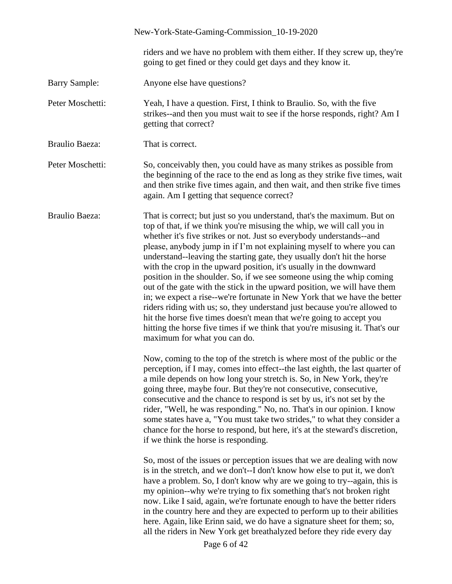|                       | New-York-State-Gaming-Commission_10-19-2020                                                                                                                                                                                                                                                                                                                                                                                                                                                                                                                                                                                                                                                                                                                                                                                                                                                                                                                |
|-----------------------|------------------------------------------------------------------------------------------------------------------------------------------------------------------------------------------------------------------------------------------------------------------------------------------------------------------------------------------------------------------------------------------------------------------------------------------------------------------------------------------------------------------------------------------------------------------------------------------------------------------------------------------------------------------------------------------------------------------------------------------------------------------------------------------------------------------------------------------------------------------------------------------------------------------------------------------------------------|
|                       | riders and we have no problem with them either. If they screw up, they're<br>going to get fined or they could get days and they know it.                                                                                                                                                                                                                                                                                                                                                                                                                                                                                                                                                                                                                                                                                                                                                                                                                   |
| <b>Barry Sample:</b>  | Anyone else have questions?                                                                                                                                                                                                                                                                                                                                                                                                                                                                                                                                                                                                                                                                                                                                                                                                                                                                                                                                |
| Peter Moschetti:      | Yeah, I have a question. First, I think to Braulio. So, with the five<br>strikes--and then you must wait to see if the horse responds, right? Am I<br>getting that correct?                                                                                                                                                                                                                                                                                                                                                                                                                                                                                                                                                                                                                                                                                                                                                                                |
| <b>Braulio Baeza:</b> | That is correct.                                                                                                                                                                                                                                                                                                                                                                                                                                                                                                                                                                                                                                                                                                                                                                                                                                                                                                                                           |
| Peter Moschetti:      | So, conceivably then, you could have as many strikes as possible from<br>the beginning of the race to the end as long as they strike five times, wait<br>and then strike five times again, and then wait, and then strike five times<br>again. Am I getting that sequence correct?                                                                                                                                                                                                                                                                                                                                                                                                                                                                                                                                                                                                                                                                         |
| <b>Braulio Baeza:</b> | That is correct; but just so you understand, that's the maximum. But on<br>top of that, if we think you're misusing the whip, we will call you in<br>whether it's five strikes or not. Just so everybody understands--and<br>please, anybody jump in if I'm not explaining myself to where you can<br>understand--leaving the starting gate, they usually don't hit the horse<br>with the crop in the upward position, it's usually in the downward<br>position in the shoulder. So, if we see someone using the whip coming<br>out of the gate with the stick in the upward position, we will have them<br>in; we expect a rise--we're fortunate in New York that we have the better<br>riders riding with us; so, they understand just because you're allowed to<br>hit the horse five times doesn't mean that we're going to accept you<br>hitting the horse five times if we think that you're misusing it. That's our<br>maximum for what you can do. |
|                       | Now, coming to the top of the stretch is where most of the public or the<br>perception, if I may, comes into effect--the last eighth, the last quarter of<br>a mile depends on how long your stretch is. So, in New York, they're<br>going three, maybe four. But they're not consecutive, consecutive,<br>consecutive and the chance to respond is set by us, it's not set by the<br>rider, "Well, he was responding." No, no. That's in our opinion. I know<br>some states have a, "You must take two strides," to what they consider a<br>chance for the horse to respond, but here, it's at the steward's discretion,<br>if we think the horse is responding.<br>So, most of the issues or perception issues that we are dealing with now<br>is in the stretch, and we don't--I don't know how else to put it, we don't<br>have a problem. So, I don't know why are we going to try--again, this is                                                    |
|                       | my opinion--why we're trying to fix something that's not broken right<br>now. Like I said, again, we're fortunate enough to have the better riders<br>in the country here and they are expected to perform up to their abilities<br>here. Again, like Erinn said, we do have a signature sheet for them; so,<br>all the riders in New York get breathalyzed before they ride every day<br>Page 6 of 42                                                                                                                                                                                                                                                                                                                                                                                                                                                                                                                                                     |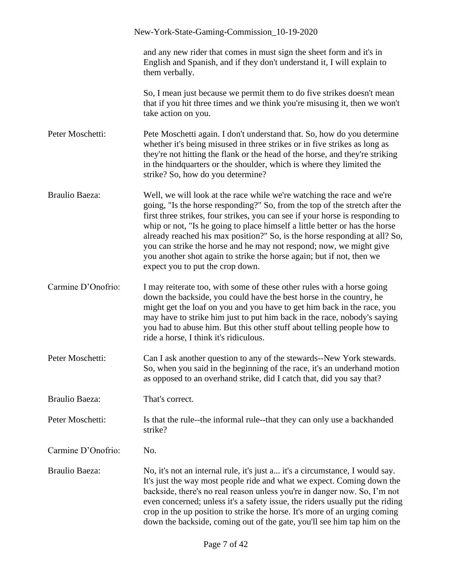|                       | New-York-State-Gaming-Commission_10-19-2020                                                                                                                                                                                                                                                                                                                                                                                                                                                                                                                                             |
|-----------------------|-----------------------------------------------------------------------------------------------------------------------------------------------------------------------------------------------------------------------------------------------------------------------------------------------------------------------------------------------------------------------------------------------------------------------------------------------------------------------------------------------------------------------------------------------------------------------------------------|
|                       | and any new rider that comes in must sign the sheet form and it's in<br>English and Spanish, and if they don't understand it, I will explain to<br>them verbally.                                                                                                                                                                                                                                                                                                                                                                                                                       |
|                       | So, I mean just because we permit them to do five strikes doesn't mean<br>that if you hit three times and we think you're misusing it, then we won't<br>take action on you.                                                                                                                                                                                                                                                                                                                                                                                                             |
| Peter Moschetti:      | Pete Moschetti again. I don't understand that. So, how do you determine<br>whether it's being misused in three strikes or in five strikes as long as<br>they're not hitting the flank or the head of the horse, and they're striking<br>in the hind quarters or the shoulder, which is where they limited the<br>strike? So, how do you determine?                                                                                                                                                                                                                                      |
| <b>Braulio Baeza:</b> | Well, we will look at the race while we're watching the race and we're<br>going, "Is the horse responding?" So, from the top of the stretch after the<br>first three strikes, four strikes, you can see if your horse is responding to<br>whip or not, "Is he going to place himself a little better or has the horse<br>already reached his max position?" So, is the horse responding at all? So,<br>you can strike the horse and he may not respond; now, we might give<br>you another shot again to strike the horse again; but if not, then we<br>expect you to put the crop down. |
| Carmine D'Onofrio:    | I may reiterate too, with some of these other rules with a horse going<br>down the backside, you could have the best horse in the country, he<br>might get the loaf on you and you have to get him back in the race, you<br>may have to strike him just to put him back in the race, nobody's saying<br>you had to abuse him. But this other stuff about telling people how to<br>ride a horse, I think it's ridiculous.                                                                                                                                                                |
| Peter Moschetti:      | Can I ask another question to any of the stewards--New York stewards.<br>So, when you said in the beginning of the race, it's an underhand motion<br>as opposed to an overhand strike, did I catch that, did you say that?                                                                                                                                                                                                                                                                                                                                                              |
| <b>Braulio Baeza:</b> | That's correct.                                                                                                                                                                                                                                                                                                                                                                                                                                                                                                                                                                         |
| Peter Moschetti:      | Is that the rule--the informal rule--that they can only use a backhanded<br>strike?                                                                                                                                                                                                                                                                                                                                                                                                                                                                                                     |
| Carmine D'Onofrio:    | No.                                                                                                                                                                                                                                                                                                                                                                                                                                                                                                                                                                                     |
| <b>Braulio Baeza:</b> | No, it's not an internal rule, it's just a it's a circumstance, I would say.<br>It's just the way most people ride and what we expect. Coming down the<br>backside, there's no real reason unless you're in danger now. So, I'm not<br>even concerned; unless it's a safety issue, the riders usually put the riding<br>crop in the up position to strike the horse. It's more of an urging coming<br>down the backside, coming out of the gate, you'll see him tap him on the                                                                                                          |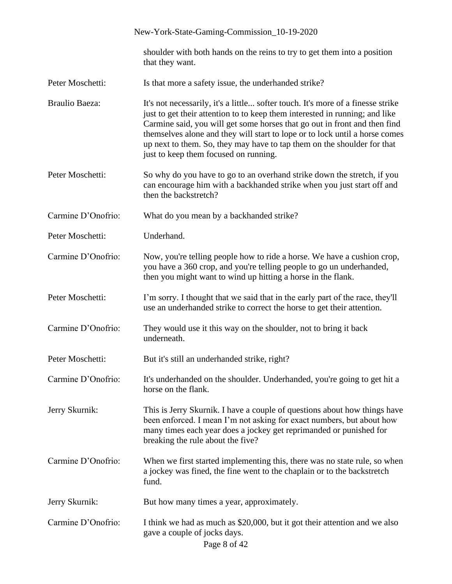|                       | New-York-State-Gaming-Commission_10-19-2020                                                                                                                                                                                                                                                                                                                                                                                                    |
|-----------------------|------------------------------------------------------------------------------------------------------------------------------------------------------------------------------------------------------------------------------------------------------------------------------------------------------------------------------------------------------------------------------------------------------------------------------------------------|
|                       | shoulder with both hands on the reins to try to get them into a position<br>that they want.                                                                                                                                                                                                                                                                                                                                                    |
| Peter Moschetti:      | Is that more a safety issue, the underhanded strike?                                                                                                                                                                                                                                                                                                                                                                                           |
| <b>Braulio Baeza:</b> | It's not necessarily, it's a little softer touch. It's more of a finesse strike<br>just to get their attention to to keep them interested in running; and like<br>Carmine said, you will get some horses that go out in front and then find<br>themselves alone and they will start to lope or to lock until a horse comes<br>up next to them. So, they may have to tap them on the shoulder for that<br>just to keep them focused on running. |
| Peter Moschetti:      | So why do you have to go to an overhand strike down the stretch, if you<br>can encourage him with a backhanded strike when you just start off and<br>then the backstretch?                                                                                                                                                                                                                                                                     |
| Carmine D'Onofrio:    | What do you mean by a backhanded strike?                                                                                                                                                                                                                                                                                                                                                                                                       |
| Peter Moschetti:      | Underhand.                                                                                                                                                                                                                                                                                                                                                                                                                                     |
| Carmine D'Onofrio:    | Now, you're telling people how to ride a horse. We have a cushion crop,<br>you have a 360 crop, and you're telling people to go un underhanded,<br>then you might want to wind up hitting a horse in the flank.                                                                                                                                                                                                                                |
| Peter Moschetti:      | I'm sorry. I thought that we said that in the early part of the race, they'll<br>use an underhanded strike to correct the horse to get their attention.                                                                                                                                                                                                                                                                                        |
| Carmine D'Onofrio:    | They would use it this way on the shoulder, not to bring it back<br>underneath.                                                                                                                                                                                                                                                                                                                                                                |
| Peter Moschetti:      | But it's still an underhanded strike, right?                                                                                                                                                                                                                                                                                                                                                                                                   |
| Carmine D'Onofrio:    | It's underhanded on the shoulder. Underhanded, you're going to get hit a<br>horse on the flank.                                                                                                                                                                                                                                                                                                                                                |
| Jerry Skurnik:        | This is Jerry Skurnik. I have a couple of questions about how things have<br>been enforced. I mean I'm not asking for exact numbers, but about how<br>many times each year does a jockey get reprimanded or punished for<br>breaking the rule about the five?                                                                                                                                                                                  |
| Carmine D'Onofrio:    | When we first started implementing this, there was no state rule, so when<br>a jockey was fined, the fine went to the chaplain or to the backstretch<br>fund.                                                                                                                                                                                                                                                                                  |
| Jerry Skurnik:        | But how many times a year, approximately.                                                                                                                                                                                                                                                                                                                                                                                                      |
| Carmine D'Onofrio:    | I think we had as much as \$20,000, but it got their attention and we also<br>gave a couple of jocks days.<br>Page 8 of 42                                                                                                                                                                                                                                                                                                                     |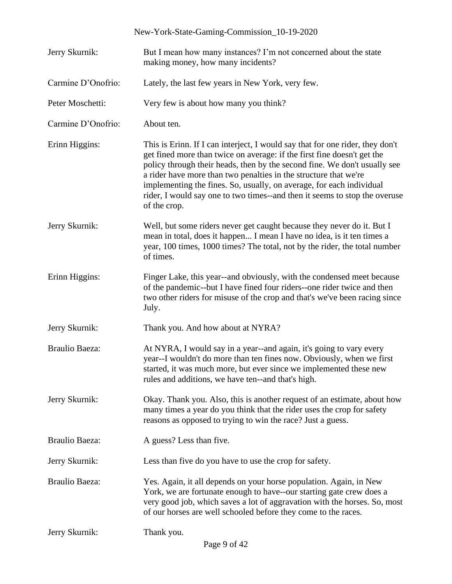| Jerry Skurnik:        | But I mean how many instances? I'm not concerned about the state<br>making money, how many incidents?                                                                                                                                                                                                                                                                                                                                                                           |
|-----------------------|---------------------------------------------------------------------------------------------------------------------------------------------------------------------------------------------------------------------------------------------------------------------------------------------------------------------------------------------------------------------------------------------------------------------------------------------------------------------------------|
| Carmine D'Onofrio:    | Lately, the last few years in New York, very few.                                                                                                                                                                                                                                                                                                                                                                                                                               |
| Peter Moschetti:      | Very few is about how many you think?                                                                                                                                                                                                                                                                                                                                                                                                                                           |
| Carmine D'Onofrio:    | About ten.                                                                                                                                                                                                                                                                                                                                                                                                                                                                      |
| Erinn Higgins:        | This is Erinn. If I can interject, I would say that for one rider, they don't<br>get fined more than twice on average: if the first fine doesn't get the<br>policy through their heads, then by the second fine. We don't usually see<br>a rider have more than two penalties in the structure that we're<br>implementing the fines. So, usually, on average, for each individual<br>rider, I would say one to two times--and then it seems to stop the overuse<br>of the crop. |
| Jerry Skurnik:        | Well, but some riders never get caught because they never do it. But I<br>mean in total, does it happen I mean I have no idea, is it ten times a<br>year, 100 times, 1000 times? The total, not by the rider, the total number<br>of times.                                                                                                                                                                                                                                     |
| Erinn Higgins:        | Finger Lake, this year--and obviously, with the condensed meet because<br>of the pandemic--but I have fined four riders--one rider twice and then<br>two other riders for misuse of the crop and that's we've been racing since<br>July.                                                                                                                                                                                                                                        |
| Jerry Skurnik:        | Thank you. And how about at NYRA?                                                                                                                                                                                                                                                                                                                                                                                                                                               |
| <b>Braulio Baeza:</b> | At NYRA, I would say in a year--and again, it's going to vary every<br>year--I wouldn't do more than ten fines now. Obviously, when we first<br>started, it was much more, but ever since we implemented these new<br>rules and additions, we have ten--and that's high.                                                                                                                                                                                                        |
| Jerry Skurnik:        | Okay. Thank you. Also, this is another request of an estimate, about how<br>many times a year do you think that the rider uses the crop for safety<br>reasons as opposed to trying to win the race? Just a guess.                                                                                                                                                                                                                                                               |
| <b>Braulio Baeza:</b> | A guess? Less than five.                                                                                                                                                                                                                                                                                                                                                                                                                                                        |
| Jerry Skurnik:        | Less than five do you have to use the crop for safety.                                                                                                                                                                                                                                                                                                                                                                                                                          |
| <b>Braulio Baeza:</b> | Yes. Again, it all depends on your horse population. Again, in New<br>York, we are fortunate enough to have--our starting gate crew does a<br>very good job, which saves a lot of aggravation with the horses. So, most<br>of our horses are well schooled before they come to the races.                                                                                                                                                                                       |
| Jerry Skurnik:        | Thank you.                                                                                                                                                                                                                                                                                                                                                                                                                                                                      |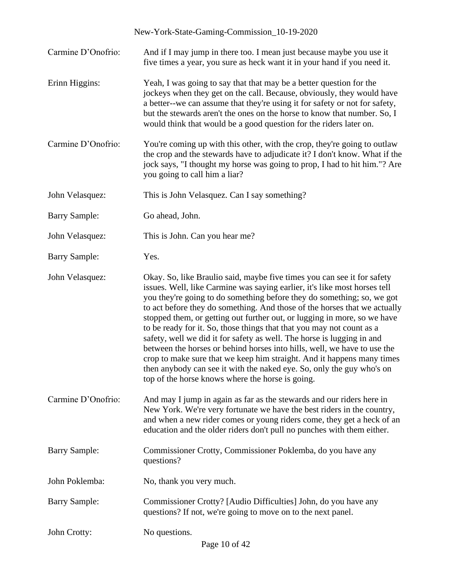Carmine D'Onofrio: And if I may jump in there too. I mean just because maybe you use it five times a year, you sure as heck want it in your hand if you need it.

- Erinn Higgins: Yeah, I was going to say that that may be a better question for the jockeys when they get on the call. Because, obviously, they would have a better--we can assume that they're using it for safety or not for safety, but the stewards aren't the ones on the horse to know that number. So, I would think that would be a good question for the riders later on.
- Carmine D'Onofrio: You're coming up with this other, with the crop, they're going to outlaw the crop and the stewards have to adjudicate it? I don't know. What if the jock says, "I thought my horse was going to prop, I had to hit him."? Are you going to call him a liar?

John Velasquez: This is John Velasquez. Can I say something?

Barry Sample: Go ahead, John.

John Velasquez: This is John. Can you hear me?

Barry Sample: Yes.

John Velasquez: Okay. So, like Braulio said, maybe five times you can see it for safety issues. Well, like Carmine was saying earlier, it's like most horses tell you they're going to do something before they do something; so, we got to act before they do something. And those of the horses that we actually stopped them, or getting out further out, or lugging in more, so we have to be ready for it. So, those things that that you may not count as a safety, well we did it for safety as well. The horse is lugging in and between the horses or behind horses into hills, well, we have to use the crop to make sure that we keep him straight. And it happens many times then anybody can see it with the naked eye. So, only the guy who's on top of the horse knows where the horse is going.

Carmine D'Onofrio: And may I jump in again as far as the stewards and our riders here in New York. We're very fortunate we have the best riders in the country, and when a new rider comes or young riders come, they get a heck of an education and the older riders don't pull no punches with them either.

Barry Sample: Commissioner Crotty, Commissioner Poklemba, do you have any questions?

John Poklemba: No, thank you very much.

Barry Sample: Commissioner Crotty? [Audio Difficulties] John, do you have any questions? If not, we're going to move on to the next panel.

John Crotty: No questions.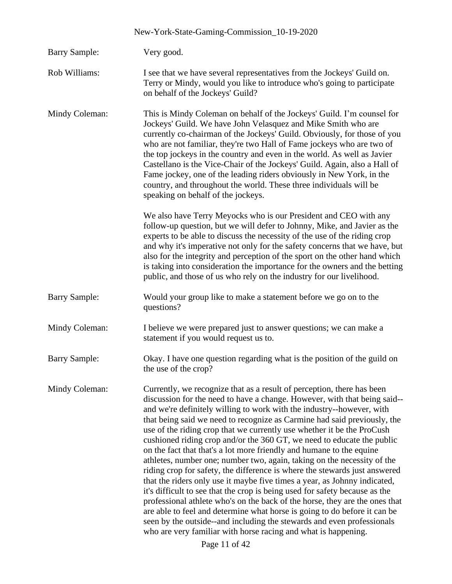|                      | New-York-State-Gaming-Commission_10-19-2020                                                                                                                                                                                                                                                                                                                                                                                                                                                                                                                                                                                                                                                                                                                                                                                                                                                                                                                                                                                                                                                                                                                                        |
|----------------------|------------------------------------------------------------------------------------------------------------------------------------------------------------------------------------------------------------------------------------------------------------------------------------------------------------------------------------------------------------------------------------------------------------------------------------------------------------------------------------------------------------------------------------------------------------------------------------------------------------------------------------------------------------------------------------------------------------------------------------------------------------------------------------------------------------------------------------------------------------------------------------------------------------------------------------------------------------------------------------------------------------------------------------------------------------------------------------------------------------------------------------------------------------------------------------|
| <b>Barry Sample:</b> | Very good.                                                                                                                                                                                                                                                                                                                                                                                                                                                                                                                                                                                                                                                                                                                                                                                                                                                                                                                                                                                                                                                                                                                                                                         |
| Rob Williams:        | I see that we have several representatives from the Jockeys' Guild on.<br>Terry or Mindy, would you like to introduce who's going to participate<br>on behalf of the Jockeys' Guild?                                                                                                                                                                                                                                                                                                                                                                                                                                                                                                                                                                                                                                                                                                                                                                                                                                                                                                                                                                                               |
| Mindy Coleman:       | This is Mindy Coleman on behalf of the Jockeys' Guild. I'm counsel for<br>Jockeys' Guild. We have John Velasquez and Mike Smith who are<br>currently co-chairman of the Jockeys' Guild. Obviously, for those of you<br>who are not familiar, they're two Hall of Fame jockeys who are two of<br>the top jockeys in the country and even in the world. As well as Javier<br>Castellano is the Vice-Chair of the Jockeys' Guild. Again, also a Hall of<br>Fame jockey, one of the leading riders obviously in New York, in the<br>country, and throughout the world. These three individuals will be<br>speaking on behalf of the jockeys.                                                                                                                                                                                                                                                                                                                                                                                                                                                                                                                                           |
|                      | We also have Terry Meyocks who is our President and CEO with any<br>follow-up question, but we will defer to Johnny, Mike, and Javier as the<br>experts to be able to discuss the necessity of the use of the riding crop<br>and why it's imperative not only for the safety concerns that we have, but<br>also for the integrity and perception of the sport on the other hand which<br>is taking into consideration the importance for the owners and the betting<br>public, and those of us who rely on the industry for our livelihood.                                                                                                                                                                                                                                                                                                                                                                                                                                                                                                                                                                                                                                        |
| <b>Barry Sample:</b> | Would your group like to make a statement before we go on to the<br>questions?                                                                                                                                                                                                                                                                                                                                                                                                                                                                                                                                                                                                                                                                                                                                                                                                                                                                                                                                                                                                                                                                                                     |
| Mindy Coleman:       | I believe we were prepared just to answer questions; we can make a<br>statement if you would request us to.                                                                                                                                                                                                                                                                                                                                                                                                                                                                                                                                                                                                                                                                                                                                                                                                                                                                                                                                                                                                                                                                        |
| <b>Barry Sample:</b> | Okay. I have one question regarding what is the position of the guild on<br>the use of the crop?                                                                                                                                                                                                                                                                                                                                                                                                                                                                                                                                                                                                                                                                                                                                                                                                                                                                                                                                                                                                                                                                                   |
| Mindy Coleman:       | Currently, we recognize that as a result of perception, there has been<br>discussion for the need to have a change. However, with that being said--<br>and we're definitely willing to work with the industry--however, with<br>that being said we need to recognize as Carmine had said previously, the<br>use of the riding crop that we currently use whether it be the ProCush<br>cushioned riding crop and/or the 360 GT, we need to educate the public<br>on the fact that that's a lot more friendly and humane to the equine<br>athletes, number one; number two, again, taking on the necessity of the<br>riding crop for safety, the difference is where the stewards just answered<br>that the riders only use it maybe five times a year, as Johnny indicated,<br>it's difficult to see that the crop is being used for safety because as the<br>professional athlete who's on the back of the horse, they are the ones that<br>are able to feel and determine what horse is going to do before it can be<br>seen by the outside--and including the stewards and even professionals<br>who are very familiar with horse racing and what is happening.<br>Page 11 of 42 |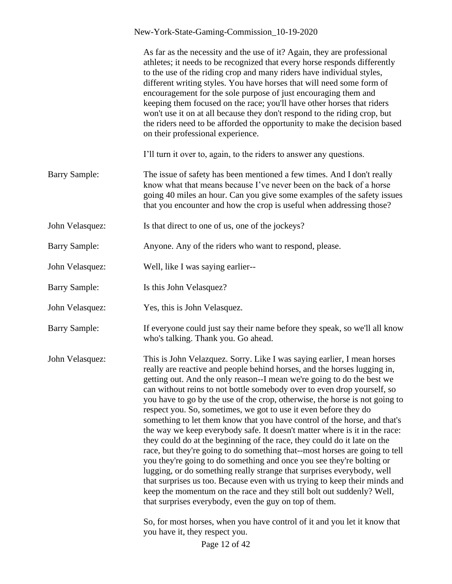|                      | New-York-State-Gaming-Commission_10-19-2020                                                                                                                                                                                                                                                                                                                                                                                                                                                                                                                                                                                                                                                                                                                                                                                                                                                                                                                                                                                                                                                                                                           |
|----------------------|-------------------------------------------------------------------------------------------------------------------------------------------------------------------------------------------------------------------------------------------------------------------------------------------------------------------------------------------------------------------------------------------------------------------------------------------------------------------------------------------------------------------------------------------------------------------------------------------------------------------------------------------------------------------------------------------------------------------------------------------------------------------------------------------------------------------------------------------------------------------------------------------------------------------------------------------------------------------------------------------------------------------------------------------------------------------------------------------------------------------------------------------------------|
|                      | As far as the necessity and the use of it? Again, they are professional<br>athletes; it needs to be recognized that every horse responds differently<br>to the use of the riding crop and many riders have individual styles,<br>different writing styles. You have horses that will need some form of<br>encouragement for the sole purpose of just encouraging them and<br>keeping them focused on the race; you'll have other horses that riders<br>won't use it on at all because they don't respond to the riding crop, but<br>the riders need to be afforded the opportunity to make the decision based<br>on their professional experience.                                                                                                                                                                                                                                                                                                                                                                                                                                                                                                    |
|                      | I'll turn it over to, again, to the riders to answer any questions.                                                                                                                                                                                                                                                                                                                                                                                                                                                                                                                                                                                                                                                                                                                                                                                                                                                                                                                                                                                                                                                                                   |
| <b>Barry Sample:</b> | The issue of safety has been mentioned a few times. And I don't really<br>know what that means because I've never been on the back of a horse<br>going 40 miles an hour. Can you give some examples of the safety issues<br>that you encounter and how the crop is useful when addressing those?                                                                                                                                                                                                                                                                                                                                                                                                                                                                                                                                                                                                                                                                                                                                                                                                                                                      |
| John Velasquez:      | Is that direct to one of us, one of the jockeys?                                                                                                                                                                                                                                                                                                                                                                                                                                                                                                                                                                                                                                                                                                                                                                                                                                                                                                                                                                                                                                                                                                      |
| <b>Barry Sample:</b> | Anyone. Any of the riders who want to respond, please.                                                                                                                                                                                                                                                                                                                                                                                                                                                                                                                                                                                                                                                                                                                                                                                                                                                                                                                                                                                                                                                                                                |
| John Velasquez:      | Well, like I was saying earlier--                                                                                                                                                                                                                                                                                                                                                                                                                                                                                                                                                                                                                                                                                                                                                                                                                                                                                                                                                                                                                                                                                                                     |
| <b>Barry Sample:</b> | Is this John Velasquez?                                                                                                                                                                                                                                                                                                                                                                                                                                                                                                                                                                                                                                                                                                                                                                                                                                                                                                                                                                                                                                                                                                                               |
| John Velasquez:      | Yes, this is John Velasquez.                                                                                                                                                                                                                                                                                                                                                                                                                                                                                                                                                                                                                                                                                                                                                                                                                                                                                                                                                                                                                                                                                                                          |
| <b>Barry Sample:</b> | If everyone could just say their name before they speak, so we'll all know<br>who's talking. Thank you. Go ahead.                                                                                                                                                                                                                                                                                                                                                                                                                                                                                                                                                                                                                                                                                                                                                                                                                                                                                                                                                                                                                                     |
| John Velasquez:      | This is John Velazquez. Sorry. Like I was saying earlier, I mean horses<br>really are reactive and people behind horses, and the horses lugging in,<br>getting out. And the only reason--I mean we're going to do the best we<br>can without reins to not bottle somebody over to even drop yourself, so<br>you have to go by the use of the crop, otherwise, the horse is not going to<br>respect you. So, sometimes, we got to use it even before they do<br>something to let them know that you have control of the horse, and that's<br>the way we keep everybody safe. It doesn't matter where is it in the race:<br>they could do at the beginning of the race, they could do it late on the<br>race, but they're going to do something that--most horses are going to tell<br>you they're going to do something and once you see they're bolting or<br>lugging, or do something really strange that surprises everybody, well<br>that surprises us too. Because even with us trying to keep their minds and<br>keep the momentum on the race and they still bolt out suddenly? Well,<br>that surprises everybody, even the guy on top of them. |
|                      | So, for most horses, when you have control of it and you let it know that<br>you have it, they respect you.<br>Page 12 of 42                                                                                                                                                                                                                                                                                                                                                                                                                                                                                                                                                                                                                                                                                                                                                                                                                                                                                                                                                                                                                          |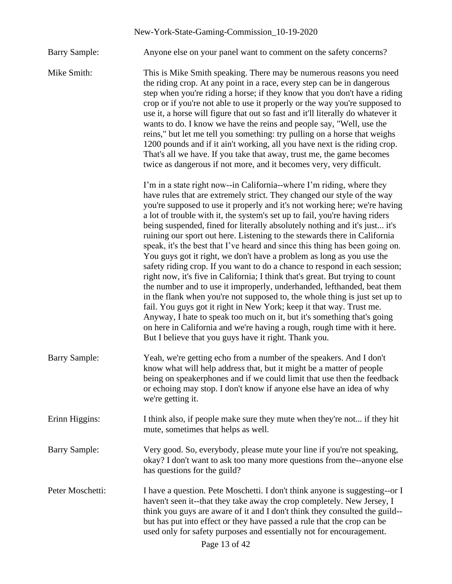Barry Sample: Anyone else on your panel want to comment on the safety concerns?

Mike Smith: This is Mike Smith speaking. There may be numerous reasons you need the riding crop. At any point in a race, every step can be in dangerous step when you're riding a horse; if they know that you don't have a riding crop or if you're not able to use it properly or the way you're supposed to use it, a horse will figure that out so fast and it'll literally do whatever it wants to do. I know we have the reins and people say, "Well, use the reins," but let me tell you something: try pulling on a horse that weighs 1200 pounds and if it ain't working, all you have next is the riding crop. That's all we have. If you take that away, trust me, the game becomes twice as dangerous if not more, and it becomes very, very difficult.

> I'm in a state right now--in California--where I'm riding, where they have rules that are extremely strict. They changed our style of the way you're supposed to use it properly and it's not working here; we're having a lot of trouble with it, the system's set up to fail, you're having riders being suspended, fined for literally absolutely nothing and it's just... it's ruining our sport out here. Listening to the stewards there in California speak, it's the best that I've heard and since this thing has been going on. You guys got it right, we don't have a problem as long as you use the safety riding crop. If you want to do a chance to respond in each session; right now, it's five in California; I think that's great. But trying to count the number and to use it improperly, underhanded, lefthanded, beat them in the flank when you're not supposed to, the whole thing is just set up to fail. You guys got it right in New York; keep it that way. Trust me. Anyway, I hate to speak too much on it, but it's something that's going on here in California and we're having a rough, rough time with it here. But I believe that you guys have it right. Thank you.

- Barry Sample: Yeah, we're getting echo from a number of the speakers. And I don't know what will help address that, but it might be a matter of people being on speakerphones and if we could limit that use then the feedback or echoing may stop. I don't know if anyone else have an idea of why we're getting it.
- Erinn Higgins: I think also, if people make sure they mute when they're not... if they hit mute, sometimes that helps as well.
- Barry Sample: Very good. So, everybody, please mute your line if you're not speaking, okay? I don't want to ask too many more questions from the--anyone else has questions for the guild?
- Peter Moschetti: I have a question. Pete Moschetti. I don't think anyone is suggesting--or I haven't seen it--that they take away the crop completely. New Jersey, I think you guys are aware of it and I don't think they consulted the guild- but has put into effect or they have passed a rule that the crop can be used only for safety purposes and essentially not for encouragement.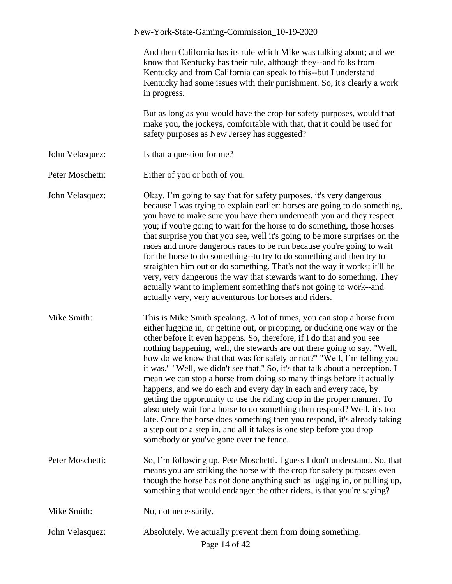|                  | New-York-State-Gaming-Commission_10-19-2020                                                                                                                                                                                                                                                                                                                                                                                                                                                                                                                                                                                                                                                                                                                                                                                                                                                                                                                               |
|------------------|---------------------------------------------------------------------------------------------------------------------------------------------------------------------------------------------------------------------------------------------------------------------------------------------------------------------------------------------------------------------------------------------------------------------------------------------------------------------------------------------------------------------------------------------------------------------------------------------------------------------------------------------------------------------------------------------------------------------------------------------------------------------------------------------------------------------------------------------------------------------------------------------------------------------------------------------------------------------------|
|                  | And then California has its rule which Mike was talking about; and we<br>know that Kentucky has their rule, although they--and folks from<br>Kentucky and from California can speak to this--but I understand<br>Kentucky had some issues with their punishment. So, it's clearly a work<br>in progress.                                                                                                                                                                                                                                                                                                                                                                                                                                                                                                                                                                                                                                                                  |
|                  | But as long as you would have the crop for safety purposes, would that<br>make you, the jockeys, comfortable with that, that it could be used for<br>safety purposes as New Jersey has suggested?                                                                                                                                                                                                                                                                                                                                                                                                                                                                                                                                                                                                                                                                                                                                                                         |
| John Velasquez:  | Is that a question for me?                                                                                                                                                                                                                                                                                                                                                                                                                                                                                                                                                                                                                                                                                                                                                                                                                                                                                                                                                |
| Peter Moschetti: | Either of you or both of you.                                                                                                                                                                                                                                                                                                                                                                                                                                                                                                                                                                                                                                                                                                                                                                                                                                                                                                                                             |
| John Velasquez:  | Okay. I'm going to say that for safety purposes, it's very dangerous<br>because I was trying to explain earlier: horses are going to do something,<br>you have to make sure you have them underneath you and they respect<br>you; if you're going to wait for the horse to do something, those horses<br>that surprise you that you see, well it's going to be more surprises on the<br>races and more dangerous races to be run because you're going to wait<br>for the horse to do something--to try to do something and then try to<br>straighten him out or do something. That's not the way it works; it'll be<br>very, very dangerous the way that stewards want to do something. They<br>actually want to implement something that's not going to work--and<br>actually very, very adventurous for horses and riders.                                                                                                                                              |
| Mike Smith:      | This is Mike Smith speaking. A lot of times, you can stop a horse from<br>either lugging in, or getting out, or propping, or ducking one way or the<br>other before it even happens. So, therefore, if I do that and you see<br>nothing happening, well, the stewards are out there going to say, "Well,<br>how do we know that that was for safety or not?" "Well, I'm telling you<br>it was." "Well, we didn't see that." So, it's that talk about a perception. I<br>mean we can stop a horse from doing so many things before it actually<br>happens, and we do each and every day in each and every race, by<br>getting the opportunity to use the riding crop in the proper manner. To<br>absolutely wait for a horse to do something then respond? Well, it's too<br>late. Once the horse does something then you respond, it's already taking<br>a step out or a step in, and all it takes is one step before you drop<br>somebody or you've gone over the fence. |
| Peter Moschetti: | So, I'm following up. Pete Moschetti. I guess I don't understand. So, that<br>means you are striking the horse with the crop for safety purposes even<br>though the horse has not done anything such as lugging in, or pulling up,<br>something that would endanger the other riders, is that you're saying?                                                                                                                                                                                                                                                                                                                                                                                                                                                                                                                                                                                                                                                              |
| Mike Smith:      | No, not necessarily.                                                                                                                                                                                                                                                                                                                                                                                                                                                                                                                                                                                                                                                                                                                                                                                                                                                                                                                                                      |
| John Velasquez:  | Absolutely. We actually prevent them from doing something.<br>Page 14 of 42                                                                                                                                                                                                                                                                                                                                                                                                                                                                                                                                                                                                                                                                                                                                                                                                                                                                                               |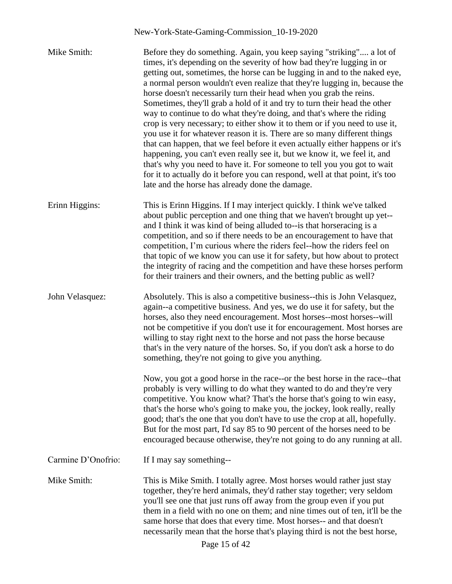| Mike Smith:        | Before they do something. Again, you keep saying "striking" a lot of<br>times, it's depending on the severity of how bad they're lugging in or<br>getting out, sometimes, the horse can be lugging in and to the naked eye,<br>a normal person wouldn't even realize that they're lugging in, because the<br>horse doesn't necessarily turn their head when you grab the reins.<br>Sometimes, they'll grab a hold of it and try to turn their head the other<br>way to continue to do what they're doing, and that's where the riding<br>crop is very necessary; to either show it to them or if you need to use it,<br>you use it for whatever reason it is. There are so many different things<br>that can happen, that we feel before it even actually either happens or it's<br>happening, you can't even really see it, but we know it, we feel it, and<br>that's why you need to have it. For someone to tell you you got to wait<br>for it to actually do it before you can respond, well at that point, it's too<br>late and the horse has already done the damage. |
|--------------------|-----------------------------------------------------------------------------------------------------------------------------------------------------------------------------------------------------------------------------------------------------------------------------------------------------------------------------------------------------------------------------------------------------------------------------------------------------------------------------------------------------------------------------------------------------------------------------------------------------------------------------------------------------------------------------------------------------------------------------------------------------------------------------------------------------------------------------------------------------------------------------------------------------------------------------------------------------------------------------------------------------------------------------------------------------------------------------|
| Erinn Higgins:     | This is Erinn Higgins. If I may interject quickly. I think we've talked<br>about public perception and one thing that we haven't brought up yet--<br>and I think it was kind of being alluded to--is that horseracing is a<br>competition, and so if there needs to be an encouragement to have that<br>competition, I'm curious where the riders feel--how the riders feel on<br>that topic of we know you can use it for safety, but how about to protect<br>the integrity of racing and the competition and have these horses perform<br>for their trainers and their owners, and the betting public as well?                                                                                                                                                                                                                                                                                                                                                                                                                                                            |
| John Velasquez:    | Absolutely. This is also a competitive business--this is John Velasquez,<br>again--a competitive business. And yes, we do use it for safety, but the<br>horses, also they need encouragement. Most horses--most horses--will<br>not be competitive if you don't use it for encouragement. Most horses are<br>willing to stay right next to the horse and not pass the horse because<br>that's in the very nature of the horses. So, if you don't ask a horse to do<br>something, they're not going to give you anything.                                                                                                                                                                                                                                                                                                                                                                                                                                                                                                                                                    |
|                    | Now, you got a good horse in the race--or the best horse in the race--that<br>probably is very willing to do what they wanted to do and they're very<br>competitive. You know what? That's the horse that's going to win easy,<br>that's the horse who's going to make you, the jockey, look really, really<br>good; that's the one that you don't have to use the crop at all, hopefully.<br>But for the most part, I'd say 85 to 90 percent of the horses need to be<br>encouraged because otherwise, they're not going to do any running at all.                                                                                                                                                                                                                                                                                                                                                                                                                                                                                                                         |
| Carmine D'Onofrio: | If I may say something--                                                                                                                                                                                                                                                                                                                                                                                                                                                                                                                                                                                                                                                                                                                                                                                                                                                                                                                                                                                                                                                    |
| Mike Smith:        | This is Mike Smith. I totally agree. Most horses would rather just stay<br>together, they're herd animals, they'd rather stay together; very seldom<br>you'll see one that just runs off away from the group even if you put<br>them in a field with no one on them; and nine times out of ten, it'll be the<br>same horse that does that every time. Most horses-- and that doesn't<br>necessarily mean that the horse that's playing third is not the best horse,<br>Page 15 of 42                                                                                                                                                                                                                                                                                                                                                                                                                                                                                                                                                                                        |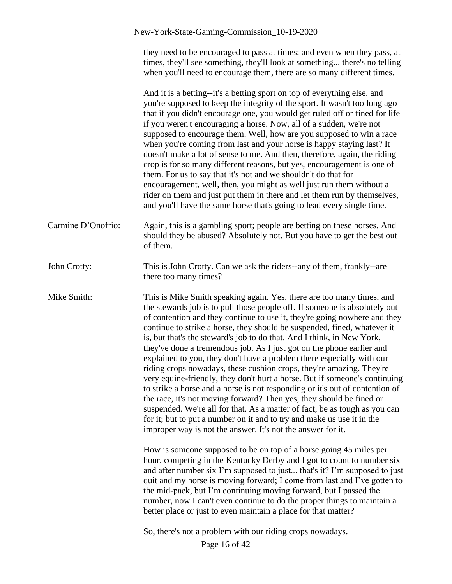|                    | New-York-State-Gaming-Commission_10-19-2020                                                                                                                                                                                                                                                                                                                                                                                                                                                                                                                                                                                                                                                                                                                                                                                                                                                                                                                                                                                                                                                                                                         |
|--------------------|-----------------------------------------------------------------------------------------------------------------------------------------------------------------------------------------------------------------------------------------------------------------------------------------------------------------------------------------------------------------------------------------------------------------------------------------------------------------------------------------------------------------------------------------------------------------------------------------------------------------------------------------------------------------------------------------------------------------------------------------------------------------------------------------------------------------------------------------------------------------------------------------------------------------------------------------------------------------------------------------------------------------------------------------------------------------------------------------------------------------------------------------------------|
|                    | they need to be encouraged to pass at times; and even when they pass, at<br>times, they'll see something, they'll look at something there's no telling<br>when you'll need to encourage them, there are so many different times.                                                                                                                                                                                                                                                                                                                                                                                                                                                                                                                                                                                                                                                                                                                                                                                                                                                                                                                    |
|                    | And it is a betting--it's a betting sport on top of everything else, and<br>you're supposed to keep the integrity of the sport. It wasn't too long ago<br>that if you didn't encourage one, you would get ruled off or fined for life<br>if you weren't encouraging a horse. Now, all of a sudden, we're not<br>supposed to encourage them. Well, how are you supposed to win a race<br>when you're coming from last and your horse is happy staying last? It<br>doesn't make a lot of sense to me. And then, therefore, again, the riding<br>crop is for so many different reasons, but yes, encouragement is one of<br>them. For us to say that it's not and we shouldn't do that for<br>encouragement, well, then, you might as well just run them without a<br>rider on them and just put them in there and let them run by themselves,<br>and you'll have the same horse that's going to lead every single time.                                                                                                                                                                                                                               |
| Carmine D'Onofrio: | Again, this is a gambling sport; people are betting on these horses. And<br>should they be abused? Absolutely not. But you have to get the best out<br>of them.                                                                                                                                                                                                                                                                                                                                                                                                                                                                                                                                                                                                                                                                                                                                                                                                                                                                                                                                                                                     |
| John Crotty:       | This is John Crotty. Can we ask the riders--any of them, frankly--are<br>there too many times?                                                                                                                                                                                                                                                                                                                                                                                                                                                                                                                                                                                                                                                                                                                                                                                                                                                                                                                                                                                                                                                      |
| Mike Smith:        | This is Mike Smith speaking again. Yes, there are too many times, and<br>the stewards job is to pull those people off. If someone is absolutely out<br>of contention and they continue to use it, they're going nowhere and they<br>continue to strike a horse, they should be suspended, fined, whatever it<br>is, but that's the steward's job to do that. And I think, in New York,<br>they've done a tremendous job. As I just got on the phone earlier and<br>explained to you, they don't have a problem there especially with our<br>riding crops nowadays, these cushion crops, they're amazing. They're<br>very equine-friendly, they don't hurt a horse. But if someone's continuing<br>to strike a horse and a horse is not responding or it's out of contention of<br>the race, it's not moving forward? Then yes, they should be fined or<br>suspended. We're all for that. As a matter of fact, be as tough as you can<br>for it; but to put a number on it and to try and make us use it in the<br>improper way is not the answer. It's not the answer for it.<br>How is someone supposed to be on top of a horse going 45 miles per |
|                    | hour, competing in the Kentucky Derby and I got to count to number six<br>and after number six I'm supposed to just that's it? I'm supposed to just<br>quit and my horse is moving forward; I come from last and I've gotten to<br>the mid-pack, but I'm continuing moving forward, but I passed the<br>number, now I can't even continue to do the proper things to maintain a<br>better place or just to even maintain a place for that matter?                                                                                                                                                                                                                                                                                                                                                                                                                                                                                                                                                                                                                                                                                                   |
|                    | So, there's not a problem with our riding crops nowadays.<br>Page 16 of 42                                                                                                                                                                                                                                                                                                                                                                                                                                                                                                                                                                                                                                                                                                                                                                                                                                                                                                                                                                                                                                                                          |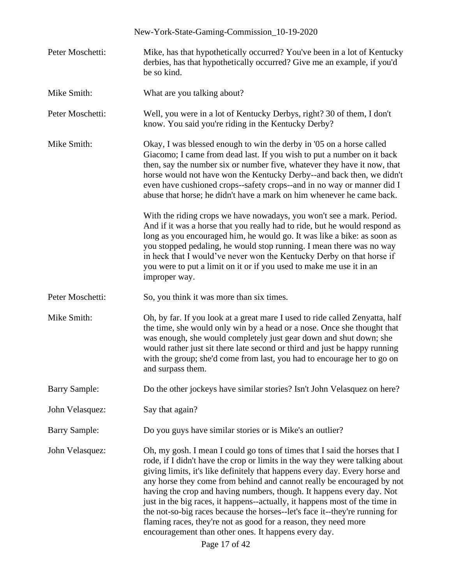|                      | New-York-State-Gaming-Commission_10-19-2020                                                                                                                                                                                                                                                                                                                                                                                                                                                                                                                                                                                                                                                            |
|----------------------|--------------------------------------------------------------------------------------------------------------------------------------------------------------------------------------------------------------------------------------------------------------------------------------------------------------------------------------------------------------------------------------------------------------------------------------------------------------------------------------------------------------------------------------------------------------------------------------------------------------------------------------------------------------------------------------------------------|
| Peter Moschetti:     | Mike, has that hypothetically occurred? You've been in a lot of Kentucky<br>derbies, has that hypothetically occurred? Give me an example, if you'd<br>be so kind.                                                                                                                                                                                                                                                                                                                                                                                                                                                                                                                                     |
| Mike Smith:          | What are you talking about?                                                                                                                                                                                                                                                                                                                                                                                                                                                                                                                                                                                                                                                                            |
| Peter Moschetti:     | Well, you were in a lot of Kentucky Derbys, right? 30 of them, I don't<br>know. You said you're riding in the Kentucky Derby?                                                                                                                                                                                                                                                                                                                                                                                                                                                                                                                                                                          |
| Mike Smith:          | Okay, I was blessed enough to win the derby in '05 on a horse called<br>Giacomo; I came from dead last. If you wish to put a number on it back<br>then, say the number six or number five, whatever they have it now, that<br>horse would not have won the Kentucky Derby--and back then, we didn't<br>even have cushioned crops--safety crops--and in no way or manner did I<br>abuse that horse; he didn't have a mark on him whenever he came back.                                                                                                                                                                                                                                                 |
|                      | With the riding crops we have nowadays, you won't see a mark. Period.<br>And if it was a horse that you really had to ride, but he would respond as<br>long as you encouraged him, he would go. It was like a bike: as soon as<br>you stopped pedaling, he would stop running. I mean there was no way<br>in heck that I would've never won the Kentucky Derby on that horse if<br>you were to put a limit on it or if you used to make me use it in an<br>improper way.                                                                                                                                                                                                                               |
| Peter Moschetti:     | So, you think it was more than six times.                                                                                                                                                                                                                                                                                                                                                                                                                                                                                                                                                                                                                                                              |
| Mike Smith:          | Oh, by far. If you look at a great mare I used to ride called Zenyatta, half<br>the time, she would only win by a head or a nose. Once she thought that<br>was enough, she would completely just gear down and shut down; she<br>would rather just sit there late second or third and just be happy running<br>with the group; she'd come from last, you had to encourage her to go on<br>and surpass them.                                                                                                                                                                                                                                                                                            |
| <b>Barry Sample:</b> | Do the other jockeys have similar stories? Isn't John Velasquez on here?                                                                                                                                                                                                                                                                                                                                                                                                                                                                                                                                                                                                                               |
| John Velasquez:      | Say that again?                                                                                                                                                                                                                                                                                                                                                                                                                                                                                                                                                                                                                                                                                        |
| <b>Barry Sample:</b> | Do you guys have similar stories or is Mike's an outlier?                                                                                                                                                                                                                                                                                                                                                                                                                                                                                                                                                                                                                                              |
| John Velasquez:      | Oh, my gosh. I mean I could go tons of times that I said the horses that I<br>rode, if I didn't have the crop or limits in the way they were talking about<br>giving limits, it's like definitely that happens every day. Every horse and<br>any horse they come from behind and cannot really be encouraged by not<br>having the crop and having numbers, though. It happens every day. Not<br>just in the big races, it happens--actually, it happens most of the time in<br>the not-so-big races because the horses--let's face it--they're running for<br>flaming races, they're not as good for a reason, they need more<br>encouragement than other ones. It happens every day.<br>Page 17 of 42 |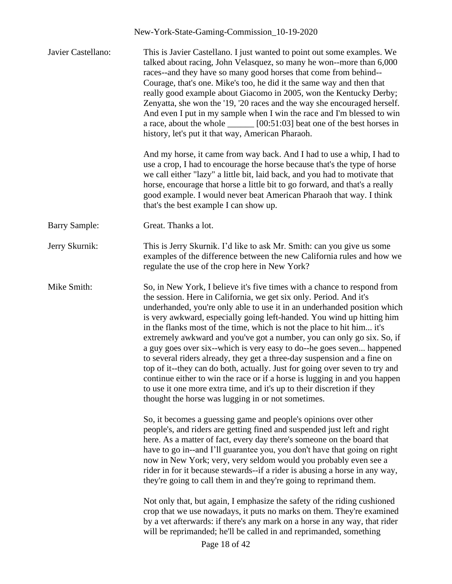| Javier Castellano:   | This is Javier Castellano. I just wanted to point out some examples. We<br>talked about racing, John Velasquez, so many he won--more than 6,000<br>races--and they have so many good horses that come from behind--<br>Courage, that's one. Mike's too, he did it the same way and then that<br>really good example about Giacomo in 2005, won the Kentucky Derby;<br>Zenyatta, she won the '19, '20 races and the way she encouraged herself.<br>And even I put in my sample when I win the race and I'm blessed to win<br>a race, about the whole $\_\_\_\_$ [00:51:03] beat one of the best horses in<br>history, let's put it that way, American Pharaoh.                                                                                                                                                                                                                                              |
|----------------------|------------------------------------------------------------------------------------------------------------------------------------------------------------------------------------------------------------------------------------------------------------------------------------------------------------------------------------------------------------------------------------------------------------------------------------------------------------------------------------------------------------------------------------------------------------------------------------------------------------------------------------------------------------------------------------------------------------------------------------------------------------------------------------------------------------------------------------------------------------------------------------------------------------|
|                      | And my horse, it came from way back. And I had to use a whip, I had to<br>use a crop, I had to encourage the horse because that's the type of horse<br>we call either "lazy" a little bit, laid back, and you had to motivate that<br>horse, encourage that horse a little bit to go forward, and that's a really<br>good example. I would never beat American Pharaoh that way. I think<br>that's the best example I can show up.                                                                                                                                                                                                                                                                                                                                                                                                                                                                         |
| <b>Barry Sample:</b> | Great. Thanks a lot.                                                                                                                                                                                                                                                                                                                                                                                                                                                                                                                                                                                                                                                                                                                                                                                                                                                                                       |
| Jerry Skurnik:       | This is Jerry Skurnik. I'd like to ask Mr. Smith: can you give us some<br>examples of the difference between the new California rules and how we<br>regulate the use of the crop here in New York?                                                                                                                                                                                                                                                                                                                                                                                                                                                                                                                                                                                                                                                                                                         |
| Mike Smith:          | So, in New York, I believe it's five times with a chance to respond from<br>the session. Here in California, we get six only. Period. And it's<br>underhanded, you're only able to use it in an underhanded position which<br>is very awkward, especially going left-handed. You wind up hitting him<br>in the flanks most of the time, which is not the place to hit him it's<br>extremely awkward and you've got a number, you can only go six. So, if<br>a guy goes over six--which is very easy to do--he goes seven happened<br>to several riders already, they get a three-day suspension and a fine on<br>top of it--they can do both, actually. Just for going over seven to try and<br>continue either to win the race or if a horse is lugging in and you happen<br>to use it one more extra time, and it's up to their discretion if they<br>thought the horse was lugging in or not sometimes. |
|                      | So, it becomes a guessing game and people's opinions over other<br>people's, and riders are getting fined and suspended just left and right<br>here. As a matter of fact, every day there's someone on the board that<br>have to go in--and I'll guarantee you, you don't have that going on right<br>now in New York; very, very seldom would you probably even see a<br>rider in for it because stewards--if a rider is abusing a horse in any way,<br>they're going to call them in and they're going to reprimand them.                                                                                                                                                                                                                                                                                                                                                                                |
|                      | Not only that, but again, I emphasize the safety of the riding cushioned<br>crop that we use nowadays, it puts no marks on them. They're examined<br>by a vet afterwards: if there's any mark on a horse in any way, that rider<br>will be reprimanded; he'll be called in and reprimanded, something<br>Page 18 of 42                                                                                                                                                                                                                                                                                                                                                                                                                                                                                                                                                                                     |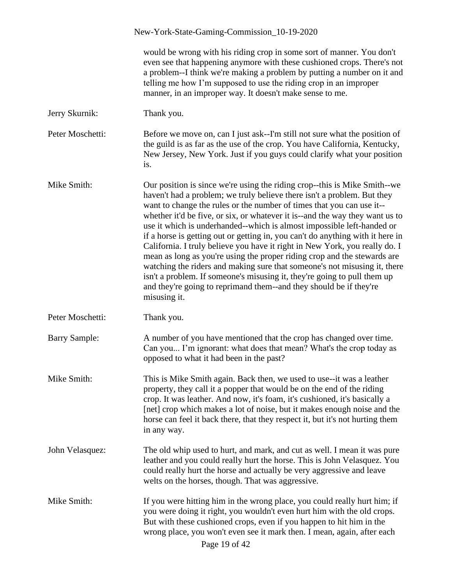|                      | New-York-State-Gaming-Commission_10-19-2020                                                                                                                                                                                                                                                                                                                                                                                                                                                                                                                                                                                                                                                                                                                                                                                                                                         |
|----------------------|-------------------------------------------------------------------------------------------------------------------------------------------------------------------------------------------------------------------------------------------------------------------------------------------------------------------------------------------------------------------------------------------------------------------------------------------------------------------------------------------------------------------------------------------------------------------------------------------------------------------------------------------------------------------------------------------------------------------------------------------------------------------------------------------------------------------------------------------------------------------------------------|
|                      | would be wrong with his riding crop in some sort of manner. You don't<br>even see that happening anymore with these cushioned crops. There's not<br>a problem--I think we're making a problem by putting a number on it and<br>telling me how I'm supposed to use the riding crop in an improper<br>manner, in an improper way. It doesn't make sense to me.                                                                                                                                                                                                                                                                                                                                                                                                                                                                                                                        |
| Jerry Skurnik:       | Thank you.                                                                                                                                                                                                                                                                                                                                                                                                                                                                                                                                                                                                                                                                                                                                                                                                                                                                          |
| Peter Moschetti:     | Before we move on, can I just ask--I'm still not sure what the position of<br>the guild is as far as the use of the crop. You have California, Kentucky,<br>New Jersey, New York. Just if you guys could clarify what your position<br>is.                                                                                                                                                                                                                                                                                                                                                                                                                                                                                                                                                                                                                                          |
| Mike Smith:          | Our position is since we're using the riding crop--this is Mike Smith--we<br>haven't had a problem; we truly believe there isn't a problem. But they<br>want to change the rules or the number of times that you can use it--<br>whether it'd be five, or six, or whatever it is--and the way they want us to<br>use it which is underhanded--which is almost impossible left-handed or<br>if a horse is getting out or getting in, you can't do anything with it here in<br>California. I truly believe you have it right in New York, you really do. I<br>mean as long as you're using the proper riding crop and the stewards are<br>watching the riders and making sure that someone's not misusing it, there<br>isn't a problem. If someone's misusing it, they're going to pull them up<br>and they're going to reprimand them--and they should be if they're<br>misusing it. |
| Peter Moschetti:     | Thank you.                                                                                                                                                                                                                                                                                                                                                                                                                                                                                                                                                                                                                                                                                                                                                                                                                                                                          |
| <b>Barry Sample:</b> | A number of you have mentioned that the crop has changed over time.<br>Can you I'm ignorant: what does that mean? What's the crop today as<br>opposed to what it had been in the past?                                                                                                                                                                                                                                                                                                                                                                                                                                                                                                                                                                                                                                                                                              |
| Mike Smith:          | This is Mike Smith again. Back then, we used to use--it was a leather<br>property, they call it a popper that would be on the end of the riding<br>crop. It was leather. And now, it's foam, it's cushioned, it's basically a<br>[net] crop which makes a lot of noise, but it makes enough noise and the<br>horse can feel it back there, that they respect it, but it's not hurting them<br>in any way.                                                                                                                                                                                                                                                                                                                                                                                                                                                                           |
| John Velasquez:      | The old whip used to hurt, and mark, and cut as well. I mean it was pure<br>leather and you could really hurt the horse. This is John Velasquez. You<br>could really hurt the horse and actually be very aggressive and leave<br>welts on the horses, though. That was aggressive.                                                                                                                                                                                                                                                                                                                                                                                                                                                                                                                                                                                                  |
| Mike Smith:          | If you were hitting him in the wrong place, you could really hurt him; if<br>you were doing it right, you wouldn't even hurt him with the old crops.<br>But with these cushioned crops, even if you happen to hit him in the<br>wrong place, you won't even see it mark then. I mean, again, after each<br>Page 19 of 42                                                                                                                                                                                                                                                                                                                                                                                                                                                                                                                                                            |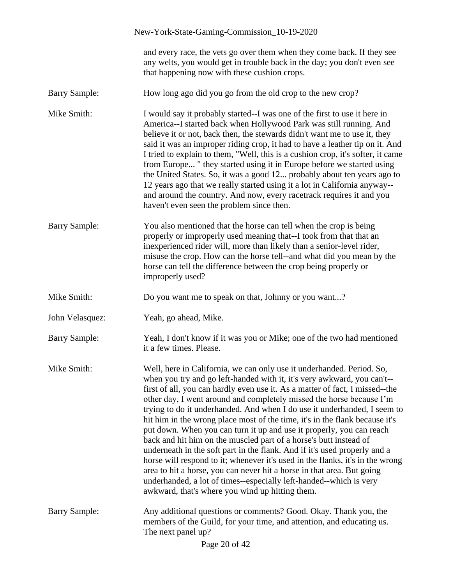|                      | New-York-State-Gaming-Commission_10-19-2020                                                                                                                                                                                                                                                                                                                                                                                                                                                                                                                                                                                                                                                                                                                                                                                                                                                                                                                                       |
|----------------------|-----------------------------------------------------------------------------------------------------------------------------------------------------------------------------------------------------------------------------------------------------------------------------------------------------------------------------------------------------------------------------------------------------------------------------------------------------------------------------------------------------------------------------------------------------------------------------------------------------------------------------------------------------------------------------------------------------------------------------------------------------------------------------------------------------------------------------------------------------------------------------------------------------------------------------------------------------------------------------------|
|                      | and every race, the vets go over them when they come back. If they see<br>any welts, you would get in trouble back in the day; you don't even see<br>that happening now with these cushion crops.                                                                                                                                                                                                                                                                                                                                                                                                                                                                                                                                                                                                                                                                                                                                                                                 |
| <b>Barry Sample:</b> | How long ago did you go from the old crop to the new crop?                                                                                                                                                                                                                                                                                                                                                                                                                                                                                                                                                                                                                                                                                                                                                                                                                                                                                                                        |
| Mike Smith:          | I would say it probably started--I was one of the first to use it here in<br>America--I started back when Hollywood Park was still running. And<br>believe it or not, back then, the stewards didn't want me to use it, they<br>said it was an improper riding crop, it had to have a leather tip on it. And<br>I tried to explain to them, "Well, this is a cushion crop, it's softer, it came<br>from Europe " they started using it in Europe before we started using<br>the United States. So, it was a good 12 probably about ten years ago to<br>12 years ago that we really started using it a lot in California anyway--<br>and around the country. And now, every racetrack requires it and you<br>haven't even seen the problem since then.                                                                                                                                                                                                                             |
| <b>Barry Sample:</b> | You also mentioned that the horse can tell when the crop is being<br>properly or improperly used meaning that--I took from that that an<br>inexperienced rider will, more than likely than a senior-level rider,<br>misuse the crop. How can the horse tell--and what did you mean by the<br>horse can tell the difference between the crop being properly or<br>improperly used?                                                                                                                                                                                                                                                                                                                                                                                                                                                                                                                                                                                                 |
| Mike Smith:          | Do you want me to speak on that, Johnny or you want?                                                                                                                                                                                                                                                                                                                                                                                                                                                                                                                                                                                                                                                                                                                                                                                                                                                                                                                              |
| John Velasquez:      | Yeah, go ahead, Mike.                                                                                                                                                                                                                                                                                                                                                                                                                                                                                                                                                                                                                                                                                                                                                                                                                                                                                                                                                             |
| <b>Barry Sample:</b> | Yeah, I don't know if it was you or Mike; one of the two had mentioned<br>it a few times. Please.                                                                                                                                                                                                                                                                                                                                                                                                                                                                                                                                                                                                                                                                                                                                                                                                                                                                                 |
| Mike Smith:          | Well, here in California, we can only use it underhanded. Period. So,<br>when you try and go left-handed with it, it's very awkward, you can't--<br>first of all, you can hardly even use it. As a matter of fact, I missed--the<br>other day, I went around and completely missed the horse because I'm<br>trying to do it underhanded. And when I do use it underhanded, I seem to<br>hit him in the wrong place most of the time, it's in the flank because it's<br>put down. When you can turn it up and use it properly, you can reach<br>back and hit him on the muscled part of a horse's butt instead of<br>underneath in the soft part in the flank. And if it's used properly and a<br>horse will respond to it; whenever it's used in the flanks, it's in the wrong<br>area to hit a horse, you can never hit a horse in that area. But going<br>underhanded, a lot of times--especially left-handed--which is very<br>awkward, that's where you wind up hitting them. |
| <b>Barry Sample:</b> | Any additional questions or comments? Good. Okay. Thank you, the<br>members of the Guild, for your time, and attention, and educating us.<br>The next panel up?<br>Page 20 of 42                                                                                                                                                                                                                                                                                                                                                                                                                                                                                                                                                                                                                                                                                                                                                                                                  |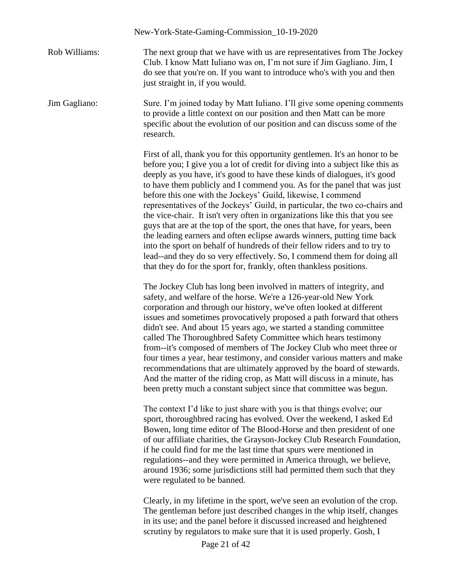|               | New-York-State-Gaming-Commission_10-19-2020                                                                                                                                                                                                                                                                                                                                                                                                                                                                                                                                                                                                                                                                                                                                                                                                                                                                                                |
|---------------|--------------------------------------------------------------------------------------------------------------------------------------------------------------------------------------------------------------------------------------------------------------------------------------------------------------------------------------------------------------------------------------------------------------------------------------------------------------------------------------------------------------------------------------------------------------------------------------------------------------------------------------------------------------------------------------------------------------------------------------------------------------------------------------------------------------------------------------------------------------------------------------------------------------------------------------------|
| Rob Williams: | The next group that we have with us are representatives from The Jockey<br>Club. I know Matt Iuliano was on, I'm not sure if Jim Gagliano. Jim, I<br>do see that you're on. If you want to introduce who's with you and then<br>just straight in, if you would.                                                                                                                                                                                                                                                                                                                                                                                                                                                                                                                                                                                                                                                                            |
| Jim Gagliano: | Sure. I'm joined today by Matt Iuliano. I'll give some opening comments<br>to provide a little context on our position and then Matt can be more<br>specific about the evolution of our position and can discuss some of the<br>research.                                                                                                                                                                                                                                                                                                                                                                                                                                                                                                                                                                                                                                                                                                  |
|               | First of all, thank you for this opportunity gentlemen. It's an honor to be<br>before you; I give you a lot of credit for diving into a subject like this as<br>deeply as you have, it's good to have these kinds of dialogues, it's good<br>to have them publicly and I commend you. As for the panel that was just<br>before this one with the Jockeys' Guild, likewise, I commend<br>representatives of the Jockeys' Guild, in particular, the two co-chairs and<br>the vice-chair. It isn't very often in organizations like this that you see<br>guys that are at the top of the sport, the ones that have, for years, been<br>the leading earners and often eclipse awards winners, putting time back<br>into the sport on behalf of hundreds of their fellow riders and to try to<br>lead--and they do so very effectively. So, I commend them for doing all<br>that they do for the sport for, frankly, often thankless positions. |
|               | The Jockey Club has long been involved in matters of integrity, and<br>safety, and welfare of the horse. We're a 126-year-old New York<br>corporation and through our history, we've often looked at different<br>issues and sometimes provocatively proposed a path forward that others<br>didn't see. And about 15 years ago, we started a standing committee<br>called The Thoroughbred Safety Committee which hears testimony<br>from--it's composed of members of The Jockey Club who meet three or<br>four times a year, hear testimony, and consider various matters and make<br>recommendations that are ultimately approved by the board of stewards.<br>And the matter of the riding crop, as Matt will discuss in a minute, has<br>been pretty much a constant subject since that committee was begun.                                                                                                                          |
|               | The context I'd like to just share with you is that things evolve; our<br>sport, thoroughbred racing has evolved. Over the weekend, I asked Ed<br>Bowen, long time editor of The Blood-Horse and then president of one<br>of our affiliate charities, the Grayson-Jockey Club Research Foundation,<br>if he could find for me the last time that spurs were mentioned in<br>regulations--and they were permitted in America through, we believe,<br>around 1936; some jurisdictions still had permitted them such that they<br>were regulated to be banned.                                                                                                                                                                                                                                                                                                                                                                                |
|               | Clearly, in my lifetime in the sport, we've seen an evolution of the crop.                                                                                                                                                                                                                                                                                                                                                                                                                                                                                                                                                                                                                                                                                                                                                                                                                                                                 |

The gentleman before just described changes in the whip itself, changes in its use; and the panel before it discussed increased and heightened scrutiny by regulators to make sure that it is used properly. Gosh, I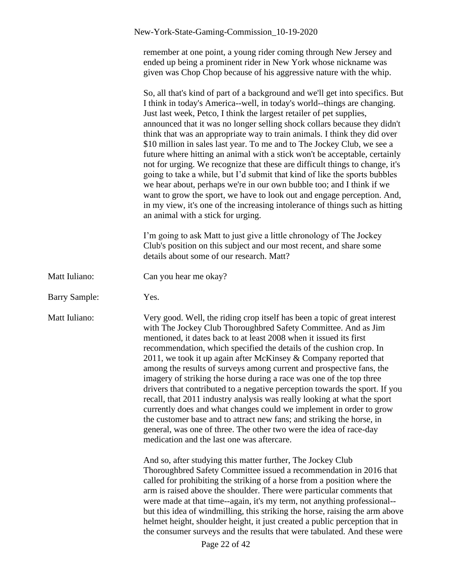remember at one point, a young rider coming through New Jersey and ended up being a prominent rider in New York whose nickname was given was Chop Chop because of his aggressive nature with the whip.

So, all that's kind of part of a background and we'll get into specifics. But I think in today's America--well, in today's world--things are changing. Just last week, Petco, I think the largest retailer of pet supplies, announced that it was no longer selling shock collars because they didn't think that was an appropriate way to train animals. I think they did over \$10 million in sales last year. To me and to The Jockey Club, we see a future where hitting an animal with a stick won't be acceptable, certainly not for urging. We recognize that these are difficult things to change, it's going to take a while, but I'd submit that kind of like the sports bubbles we hear about, perhaps we're in our own bubble too; and I think if we want to grow the sport, we have to look out and engage perception. And, in my view, it's one of the increasing intolerance of things such as hitting an animal with a stick for urging.

I'm going to ask Matt to just give a little chronology of The Jockey Club's position on this subject and our most recent, and share some details about some of our research. Matt?

- Matt Iuliano: Can you hear me okay?
- Barry Sample: Yes.

Matt Iuliano: Very good. Well, the riding crop itself has been a topic of great interest with The Jockey Club Thoroughbred Safety Committee. And as Jim mentioned, it dates back to at least 2008 when it issued its first recommendation, which specified the details of the cushion crop. In 2011, we took it up again after McKinsey & Company reported that among the results of surveys among current and prospective fans, the imagery of striking the horse during a race was one of the top three drivers that contributed to a negative perception towards the sport. If you recall, that 2011 industry analysis was really looking at what the sport currently does and what changes could we implement in order to grow the customer base and to attract new fans; and striking the horse, in general, was one of three. The other two were the idea of race-day medication and the last one was aftercare.

> And so, after studying this matter further, The Jockey Club Thoroughbred Safety Committee issued a recommendation in 2016 that called for prohibiting the striking of a horse from a position where the arm is raised above the shoulder. There were particular comments that were made at that time--again, it's my term, not anything professional- but this idea of windmilling, this striking the horse, raising the arm above helmet height, shoulder height, it just created a public perception that in the consumer surveys and the results that were tabulated. And these were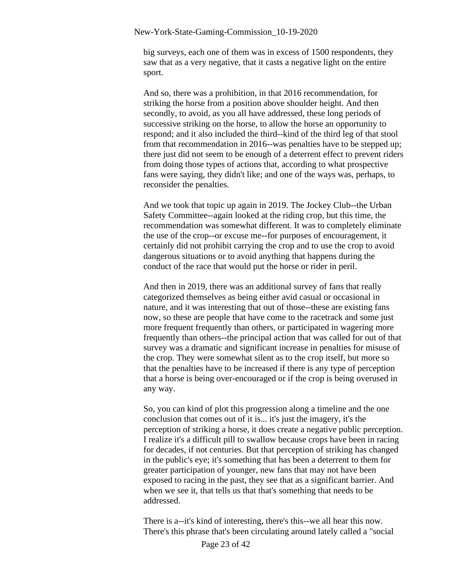big surveys, each one of them was in excess of 1500 respondents, they saw that as a very negative, that it casts a negative light on the entire sport.

And so, there was a prohibition, in that 2016 recommendation, for striking the horse from a position above shoulder height. And then secondly, to avoid, as you all have addressed, these long periods of successive striking on the horse, to allow the horse an opportunity to respond; and it also included the third--kind of the third leg of that stool from that recommendation in 2016--was penalties have to be stepped up; there just did not seem to be enough of a deterrent effect to prevent riders from doing those types of actions that, according to what prospective fans were saying, they didn't like; and one of the ways was, perhaps, to reconsider the penalties.

And we took that topic up again in 2019. The Jockey Club--the Urban Safety Committee--again looked at the riding crop, but this time, the recommendation was somewhat different. It was to completely eliminate the use of the crop--or excuse me--for purposes of encouragement, it certainly did not prohibit carrying the crop and to use the crop to avoid dangerous situations or to avoid anything that happens during the conduct of the race that would put the horse or rider in peril.

And then in 2019, there was an additional survey of fans that really categorized themselves as being either avid casual or occasional in nature, and it was interesting that out of those--these are existing fans now, so these are people that have come to the racetrack and some just more frequent frequently than others, or participated in wagering more frequently than others--the principal action that was called for out of that survey was a dramatic and significant increase in penalties for misuse of the crop. They were somewhat silent as to the crop itself, but more so that the penalties have to be increased if there is any type of perception that a horse is being over-encouraged or if the crop is being overused in any way.

So, you can kind of plot this progression along a timeline and the one conclusion that comes out of it is... it's just the imagery, it's the perception of striking a horse, it does create a negative public perception. I realize it's a difficult pill to swallow because crops have been in racing for decades, if not centuries. But that perception of striking has changed in the public's eye; it's something that has been a deterrent to them for greater participation of younger, new fans that may not have been exposed to racing in the past, they see that as a significant barrier. And when we see it, that tells us that that's something that needs to be addressed.

There is a--it's kind of interesting, there's this--we all hear this now. There's this phrase that's been circulating around lately called a "social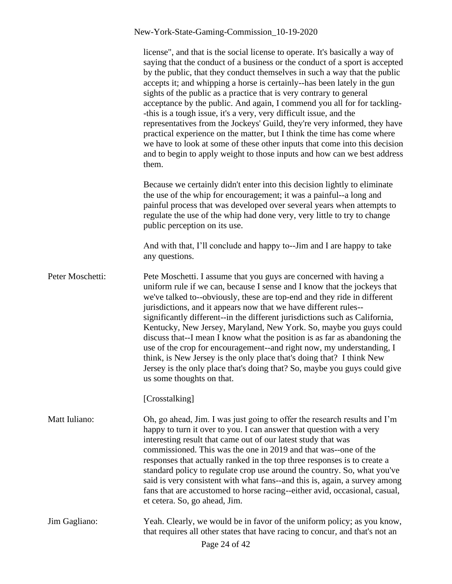|                  | license", and that is the social license to operate. It's basically a way of<br>saying that the conduct of a business or the conduct of a sport is accepted<br>by the public, that they conduct themselves in such a way that the public<br>accepts it; and whipping a horse is certainly--has been lately in the gun<br>sights of the public as a practice that is very contrary to general<br>acceptance by the public. And again, I commend you all for for tackling-<br>-this is a tough issue, it's a very, very difficult issue, and the<br>representatives from the Jockeys' Guild, they're very informed, they have<br>practical experience on the matter, but I think the time has come where<br>we have to look at some of these other inputs that come into this decision<br>and to begin to apply weight to those inputs and how can we best address<br>them. |
|------------------|---------------------------------------------------------------------------------------------------------------------------------------------------------------------------------------------------------------------------------------------------------------------------------------------------------------------------------------------------------------------------------------------------------------------------------------------------------------------------------------------------------------------------------------------------------------------------------------------------------------------------------------------------------------------------------------------------------------------------------------------------------------------------------------------------------------------------------------------------------------------------|
|                  | Because we certainly didn't enter into this decision lightly to eliminate<br>the use of the whip for encouragement; it was a painful--a long and<br>painful process that was developed over several years when attempts to<br>regulate the use of the whip had done very, very little to try to change<br>public perception on its use.                                                                                                                                                                                                                                                                                                                                                                                                                                                                                                                                   |
|                  | And with that, I'll conclude and happy to--Jim and I are happy to take<br>any questions.                                                                                                                                                                                                                                                                                                                                                                                                                                                                                                                                                                                                                                                                                                                                                                                  |
| Peter Moschetti: | Pete Moschetti. I assume that you guys are concerned with having a<br>uniform rule if we can, because I sense and I know that the jockeys that<br>we've talked to--obviously, these are top-end and they ride in different<br>jurisdictions, and it appears now that we have different rules--<br>significantly different--in the different jurisdictions such as California,<br>Kentucky, New Jersey, Maryland, New York. So, maybe you guys could<br>discuss that--I mean I know what the position is as far as abandoning the<br>use of the crop for encouragement--and right now, my understanding, I<br>think, is New Jersey is the only place that's doing that? I think New<br>Jersey is the only place that's doing that? So, maybe you guys could give<br>us some thoughts on that.                                                                              |
|                  | [Crosstalking]                                                                                                                                                                                                                                                                                                                                                                                                                                                                                                                                                                                                                                                                                                                                                                                                                                                            |
| Matt Iuliano:    | Oh, go ahead, Jim. I was just going to offer the research results and I'm<br>happy to turn it over to you. I can answer that question with a very<br>interesting result that came out of our latest study that was<br>commissioned. This was the one in 2019 and that was--one of the<br>responses that actually ranked in the top three responses is to create a<br>standard policy to regulate crop use around the country. So, what you've<br>said is very consistent with what fans--and this is, again, a survey among<br>fans that are accustomed to horse racing--either avid, occasional, casual,<br>et cetera. So, go ahead, Jim.                                                                                                                                                                                                                                |
| Jim Gagliano:    | Yeah. Clearly, we would be in favor of the uniform policy; as you know,<br>that requires all other states that have racing to concur, and that's not an<br>Page 24 of 42                                                                                                                                                                                                                                                                                                                                                                                                                                                                                                                                                                                                                                                                                                  |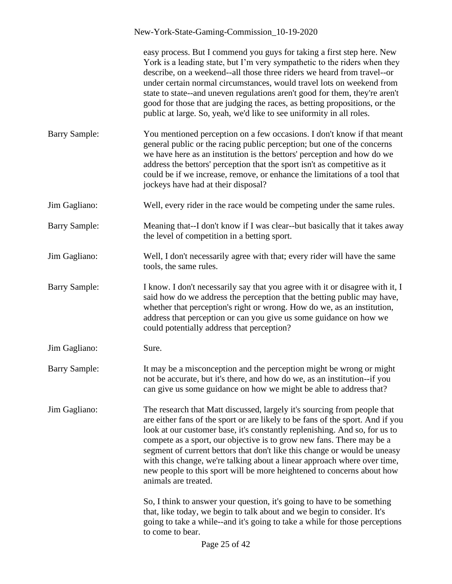|                      | New-York-State-Gaming-Commission_10-19-2020                                                                                                                                                                                                                                                                                                                                                                                                                                                                                                                                  |
|----------------------|------------------------------------------------------------------------------------------------------------------------------------------------------------------------------------------------------------------------------------------------------------------------------------------------------------------------------------------------------------------------------------------------------------------------------------------------------------------------------------------------------------------------------------------------------------------------------|
|                      | easy process. But I commend you guys for taking a first step here. New<br>York is a leading state, but I'm very sympathetic to the riders when they<br>describe, on a weekend--all those three riders we heard from travel--or<br>under certain normal circumstances, would travel lots on weekend from<br>state to state--and uneven regulations aren't good for them, they're aren't<br>good for those that are judging the races, as betting propositions, or the<br>public at large. So, yeah, we'd like to see uniformity in all roles.                                 |
| <b>Barry Sample:</b> | You mentioned perception on a few occasions. I don't know if that meant<br>general public or the racing public perception; but one of the concerns<br>we have here as an institution is the bettors' perception and how do we<br>address the bettors' perception that the sport isn't as competitive as it<br>could be if we increase, remove, or enhance the limitations of a tool that<br>jockeys have had at their disposal?                                                                                                                                              |
| Jim Gagliano:        | Well, every rider in the race would be competing under the same rules.                                                                                                                                                                                                                                                                                                                                                                                                                                                                                                       |
| <b>Barry Sample:</b> | Meaning that--I don't know if I was clear--but basically that it takes away<br>the level of competition in a betting sport.                                                                                                                                                                                                                                                                                                                                                                                                                                                  |
| Jim Gagliano:        | Well, I don't necessarily agree with that; every rider will have the same<br>tools, the same rules.                                                                                                                                                                                                                                                                                                                                                                                                                                                                          |
| <b>Barry Sample:</b> | I know. I don't necessarily say that you agree with it or disagree with it, I<br>said how do we address the perception that the betting public may have,<br>whether that perception's right or wrong. How do we, as an institution,<br>address that perception or can you give us some guidance on how we<br>could potentially address that perception?                                                                                                                                                                                                                      |
| Jim Gagliano:        | Sure.                                                                                                                                                                                                                                                                                                                                                                                                                                                                                                                                                                        |
| <b>Barry Sample:</b> | It may be a misconception and the perception might be wrong or might<br>not be accurate, but it's there, and how do we, as an institution--if you<br>can give us some guidance on how we might be able to address that?                                                                                                                                                                                                                                                                                                                                                      |
| Jim Gagliano:        | The research that Matt discussed, largely it's sourcing from people that<br>are either fans of the sport or are likely to be fans of the sport. And if you<br>look at our customer base, it's constantly replenishing. And so, for us to<br>compete as a sport, our objective is to grow new fans. There may be a<br>segment of current bettors that don't like this change or would be uneasy<br>with this change, we're talking about a linear approach where over time,<br>new people to this sport will be more heightened to concerns about how<br>animals are treated. |
|                      | So, I think to answer your question, it's going to have to be something<br>that, like today, we begin to talk about and we begin to consider. It's<br>going to take a while--and it's going to take a while for those perceptions<br>to come to bear.                                                                                                                                                                                                                                                                                                                        |
|                      | Page 25 of 42                                                                                                                                                                                                                                                                                                                                                                                                                                                                                                                                                                |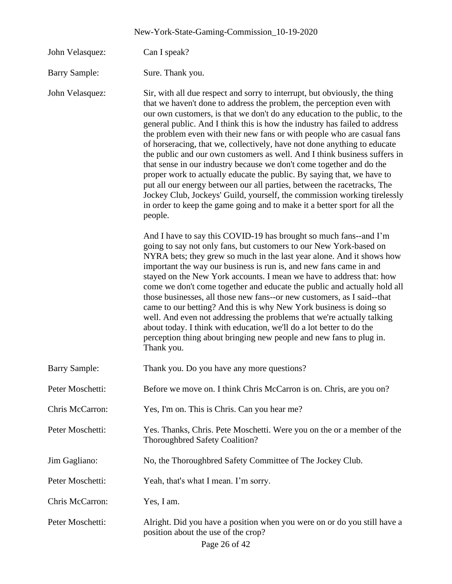| New-York-State-Gaming-Commission_10-19-2020 |                                                                                                                                                                                                                                                                                                                                                                                                                                                                                                                                                                                                                                                                                                                                                                                                                                                                                                                                                      |  |
|---------------------------------------------|------------------------------------------------------------------------------------------------------------------------------------------------------------------------------------------------------------------------------------------------------------------------------------------------------------------------------------------------------------------------------------------------------------------------------------------------------------------------------------------------------------------------------------------------------------------------------------------------------------------------------------------------------------------------------------------------------------------------------------------------------------------------------------------------------------------------------------------------------------------------------------------------------------------------------------------------------|--|
| John Velasquez:                             | Can I speak?                                                                                                                                                                                                                                                                                                                                                                                                                                                                                                                                                                                                                                                                                                                                                                                                                                                                                                                                         |  |
| <b>Barry Sample:</b>                        | Sure. Thank you.                                                                                                                                                                                                                                                                                                                                                                                                                                                                                                                                                                                                                                                                                                                                                                                                                                                                                                                                     |  |
| John Velasquez:                             | Sir, with all due respect and sorry to interrupt, but obviously, the thing<br>that we haven't done to address the problem, the perception even with<br>our own customers, is that we don't do any education to the public, to the<br>general public. And I think this is how the industry has failed to address<br>the problem even with their new fans or with people who are casual fans<br>of horseracing, that we, collectively, have not done anything to educate<br>the public and our own customers as well. And I think business suffers in<br>that sense in our industry because we don't come together and do the<br>proper work to actually educate the public. By saying that, we have to<br>put all our energy between our all parties, between the racetracks, The<br>Jockey Club, Jockeys' Guild, yourself, the commission working tirelessly<br>in order to keep the game going and to make it a better sport for all the<br>people. |  |
|                                             | And I have to say this COVID-19 has brought so much fans--and I'm<br>going to say not only fans, but customers to our New York-based on<br>NYRA bets; they grew so much in the last year alone. And it shows how<br>important the way our business is run is, and new fans came in and<br>stayed on the New York accounts. I mean we have to address that: how<br>come we don't come together and educate the public and actually hold all<br>those businesses, all those new fans--or new customers, as I said--that<br>came to our betting? And this is why New York business is doing so<br>well. And even not addressing the problems that we're actually talking<br>about today. I think with education, we'll do a lot better to do the<br>perception thing about bringing new people and new fans to plug in.<br>Thank you.                                                                                                                   |  |
| <b>Barry Sample:</b>                        | Thank you. Do you have any more questions?                                                                                                                                                                                                                                                                                                                                                                                                                                                                                                                                                                                                                                                                                                                                                                                                                                                                                                           |  |
| Peter Moschetti:                            | Before we move on. I think Chris McCarron is on. Chris, are you on?                                                                                                                                                                                                                                                                                                                                                                                                                                                                                                                                                                                                                                                                                                                                                                                                                                                                                  |  |
| Chris McCarron:                             | Yes, I'm on. This is Chris. Can you hear me?                                                                                                                                                                                                                                                                                                                                                                                                                                                                                                                                                                                                                                                                                                                                                                                                                                                                                                         |  |
| Peter Moschetti:                            | Yes. Thanks, Chris. Pete Moschetti. Were you on the or a member of the<br>Thoroughbred Safety Coalition?                                                                                                                                                                                                                                                                                                                                                                                                                                                                                                                                                                                                                                                                                                                                                                                                                                             |  |
| Jim Gagliano:                               | No, the Thoroughbred Safety Committee of The Jockey Club.                                                                                                                                                                                                                                                                                                                                                                                                                                                                                                                                                                                                                                                                                                                                                                                                                                                                                            |  |
| Peter Moschetti:                            | Yeah, that's what I mean. I'm sorry.                                                                                                                                                                                                                                                                                                                                                                                                                                                                                                                                                                                                                                                                                                                                                                                                                                                                                                                 |  |
| Chris McCarron:                             | Yes, I am.                                                                                                                                                                                                                                                                                                                                                                                                                                                                                                                                                                                                                                                                                                                                                                                                                                                                                                                                           |  |
| Peter Moschetti:                            | Alright. Did you have a position when you were on or do you still have a<br>position about the use of the crop?<br>Page 26 of 42                                                                                                                                                                                                                                                                                                                                                                                                                                                                                                                                                                                                                                                                                                                                                                                                                     |  |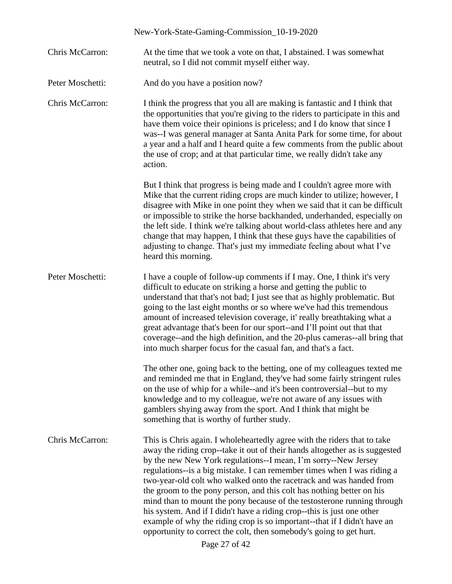|                  | New-York-State-Gaming-Commission_10-19-2020                                                                                                                                                                                                                                                                                                                                                                                                                                                                                                                                                                                                                                                                                                                                   |
|------------------|-------------------------------------------------------------------------------------------------------------------------------------------------------------------------------------------------------------------------------------------------------------------------------------------------------------------------------------------------------------------------------------------------------------------------------------------------------------------------------------------------------------------------------------------------------------------------------------------------------------------------------------------------------------------------------------------------------------------------------------------------------------------------------|
| Chris McCarron:  | At the time that we took a vote on that, I abstained. I was somewhat<br>neutral, so I did not commit myself either way.                                                                                                                                                                                                                                                                                                                                                                                                                                                                                                                                                                                                                                                       |
| Peter Moschetti: | And do you have a position now?                                                                                                                                                                                                                                                                                                                                                                                                                                                                                                                                                                                                                                                                                                                                               |
| Chris McCarron:  | I think the progress that you all are making is fantastic and I think that<br>the opportunities that you're giving to the riders to participate in this and<br>have them voice their opinions is priceless; and I do know that since I<br>was--I was general manager at Santa Anita Park for some time, for about<br>a year and a half and I heard quite a few comments from the public about<br>the use of crop; and at that particular time, we really didn't take any<br>action.                                                                                                                                                                                                                                                                                           |
|                  | But I think that progress is being made and I couldn't agree more with<br>Mike that the current riding crops are much kinder to utilize; however, I<br>disagree with Mike in one point they when we said that it can be difficult<br>or impossible to strike the horse backhanded, underhanded, especially on<br>the left side. I think we're talking about world-class athletes here and any<br>change that may happen, I think that these guys have the capabilities of<br>adjusting to change. That's just my immediate feeling about what I've<br>heard this morning.                                                                                                                                                                                                     |
| Peter Moschetti: | I have a couple of follow-up comments if I may. One, I think it's very<br>difficult to educate on striking a horse and getting the public to<br>understand that that's not bad; I just see that as highly problematic. But<br>going to the last eight months or so where we've had this tremendous<br>amount of increased television coverage, it' really breathtaking what a<br>great advantage that's been for our sport--and I'll point out that that<br>coverage--and the high definition, and the 20-plus cameras--all bring that<br>into much sharper focus for the casual fan, and that's a fact.                                                                                                                                                                      |
|                  | The other one, going back to the betting, one of my colleagues texted me<br>and reminded me that in England, they've had some fairly stringent rules<br>on the use of whip for a while--and it's been controversial--but to my<br>knowledge and to my colleague, we're not aware of any issues with<br>gamblers shying away from the sport. And I think that might be<br>something that is worthy of further study.                                                                                                                                                                                                                                                                                                                                                           |
| Chris McCarron:  | This is Chris again. I wholeheartedly agree with the riders that to take<br>away the riding crop--take it out of their hands altogether as is suggested<br>by the new New York regulations--I mean, I'm sorry--New Jersey<br>regulations--is a big mistake. I can remember times when I was riding a<br>two-year-old colt who walked onto the racetrack and was handed from<br>the groom to the pony person, and this colt has nothing better on his<br>mind than to mount the pony because of the testosterone running through<br>his system. And if I didn't have a riding crop--this is just one other<br>example of why the riding crop is so important--that if I didn't have an<br>opportunity to correct the colt, then somebody's going to get hurt.<br>Page 27 of 42 |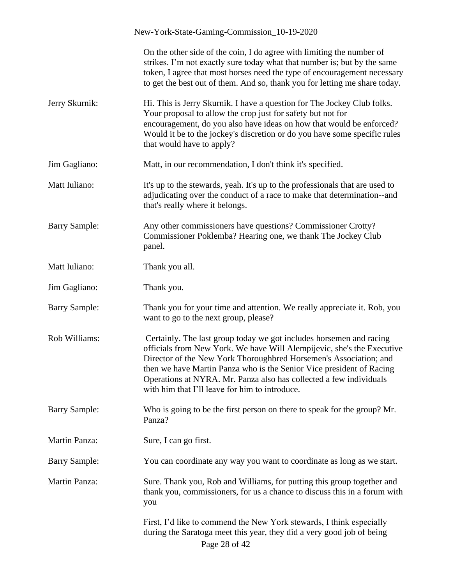|                      | New-York-State-Gaming-Commission_10-19-2020                                                                                                                                                                                                                                                                                                                                                                        |
|----------------------|--------------------------------------------------------------------------------------------------------------------------------------------------------------------------------------------------------------------------------------------------------------------------------------------------------------------------------------------------------------------------------------------------------------------|
|                      | On the other side of the coin, I do agree with limiting the number of<br>strikes. I'm not exactly sure today what that number is; but by the same<br>token, I agree that most horses need the type of encouragement necessary<br>to get the best out of them. And so, thank you for letting me share today.                                                                                                        |
| Jerry Skurnik:       | Hi. This is Jerry Skurnik. I have a question for The Jockey Club folks.<br>Your proposal to allow the crop just for safety but not for<br>encouragement, do you also have ideas on how that would be enforced?<br>Would it be to the jockey's discretion or do you have some specific rules<br>that would have to apply?                                                                                           |
| Jim Gagliano:        | Matt, in our recommendation, I don't think it's specified.                                                                                                                                                                                                                                                                                                                                                         |
| Matt Iuliano:        | It's up to the stewards, yeah. It's up to the professionals that are used to<br>adjudicating over the conduct of a race to make that determination--and<br>that's really where it belongs.                                                                                                                                                                                                                         |
| <b>Barry Sample:</b> | Any other commissioners have questions? Commissioner Crotty?<br>Commissioner Poklemba? Hearing one, we thank The Jockey Club<br>panel.                                                                                                                                                                                                                                                                             |
| Matt Iuliano:        | Thank you all.                                                                                                                                                                                                                                                                                                                                                                                                     |
| Jim Gagliano:        | Thank you.                                                                                                                                                                                                                                                                                                                                                                                                         |
| <b>Barry Sample:</b> | Thank you for your time and attention. We really appreciate it. Rob, you<br>want to go to the next group, please?                                                                                                                                                                                                                                                                                                  |
| Rob Williams:        | Certainly. The last group today we got includes horsemen and racing<br>officials from New York. We have Will Alempijevic, she's the Executive<br>Director of the New York Thoroughbred Horsemen's Association; and<br>then we have Martin Panza who is the Senior Vice president of Racing<br>Operations at NYRA. Mr. Panza also has collected a few individuals<br>with him that I'll leave for him to introduce. |
| <b>Barry Sample:</b> | Who is going to be the first person on there to speak for the group? Mr.<br>Panza?                                                                                                                                                                                                                                                                                                                                 |
| Martin Panza:        | Sure, I can go first.                                                                                                                                                                                                                                                                                                                                                                                              |
| <b>Barry Sample:</b> | You can coordinate any way you want to coordinate as long as we start.                                                                                                                                                                                                                                                                                                                                             |
| Martin Panza:        | Sure. Thank you, Rob and Williams, for putting this group together and<br>thank you, commissioners, for us a chance to discuss this in a forum with<br>you                                                                                                                                                                                                                                                         |
|                      | First, I'd like to commend the New York stewards, I think especially<br>during the Saratoga meet this year, they did a very good job of being<br>Page 28 of 42                                                                                                                                                                                                                                                     |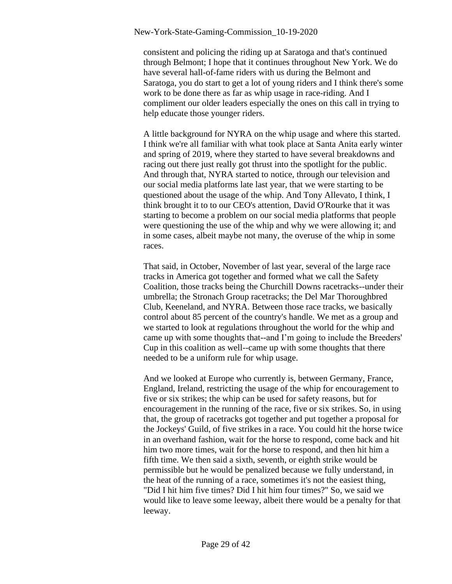consistent and policing the riding up at Saratoga and that's continued through Belmont; I hope that it continues throughout New York. We do have several hall-of-fame riders with us during the Belmont and Saratoga, you do start to get a lot of young riders and I think there's some work to be done there as far as whip usage in race-riding. And I compliment our older leaders especially the ones on this call in trying to help educate those younger riders.

A little background for NYRA on the whip usage and where this started. I think we're all familiar with what took place at Santa Anita early winter and spring of 2019, where they started to have several breakdowns and racing out there just really got thrust into the spotlight for the public. And through that, NYRA started to notice, through our television and our social media platforms late last year, that we were starting to be questioned about the usage of the whip. And Tony Allevato, I think, I think brought it to to our CEO's attention, David O'Rourke that it was starting to become a problem on our social media platforms that people were questioning the use of the whip and why we were allowing it; and in some cases, albeit maybe not many, the overuse of the whip in some races.

That said, in October, November of last year, several of the large race tracks in America got together and formed what we call the Safety Coalition, those tracks being the Churchill Downs racetracks--under their umbrella; the Stronach Group racetracks; the Del Mar Thoroughbred Club, Keeneland, and NYRA. Between those race tracks, we basically control about 85 percent of the country's handle. We met as a group and we started to look at regulations throughout the world for the whip and came up with some thoughts that--and I'm going to include the Breeders' Cup in this coalition as well--came up with some thoughts that there needed to be a uniform rule for whip usage.

And we looked at Europe who currently is, between Germany, France, England, Ireland, restricting the usage of the whip for encouragement to five or six strikes; the whip can be used for safety reasons, but for encouragement in the running of the race, five or six strikes. So, in using that, the group of racetracks got together and put together a proposal for the Jockeys' Guild, of five strikes in a race. You could hit the horse twice in an overhand fashion, wait for the horse to respond, come back and hit him two more times, wait for the horse to respond, and then hit him a fifth time. We then said a sixth, seventh, or eighth strike would be permissible but he would be penalized because we fully understand, in the heat of the running of a race, sometimes it's not the easiest thing, "Did I hit him five times? Did I hit him four times?" So, we said we would like to leave some leeway, albeit there would be a penalty for that leeway.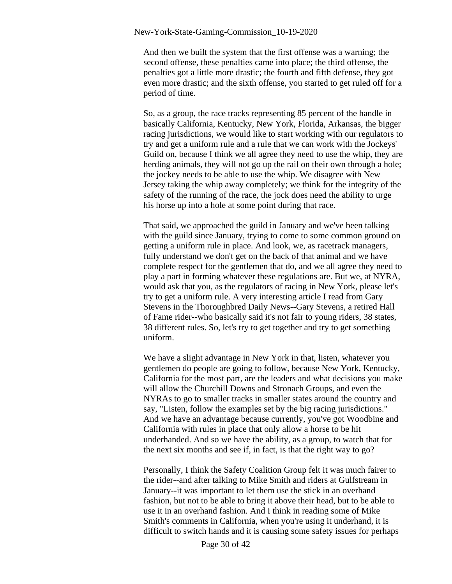And then we built the system that the first offense was a warning; the second offense, these penalties came into place; the third offense, the penalties got a little more drastic; the fourth and fifth defense, they got even more drastic; and the sixth offense, you started to get ruled off for a period of time.

So, as a group, the race tracks representing 85 percent of the handle in basically California, Kentucky, New York, Florida, Arkansas, the bigger racing jurisdictions, we would like to start working with our regulators to try and get a uniform rule and a rule that we can work with the Jockeys' Guild on, because I think we all agree they need to use the whip, they are herding animals, they will not go up the rail on their own through a hole; the jockey needs to be able to use the whip. We disagree with New Jersey taking the whip away completely; we think for the integrity of the safety of the running of the race, the jock does need the ability to urge his horse up into a hole at some point during that race.

That said, we approached the guild in January and we've been talking with the guild since January, trying to come to some common ground on getting a uniform rule in place. And look, we, as racetrack managers, fully understand we don't get on the back of that animal and we have complete respect for the gentlemen that do, and we all agree they need to play a part in forming whatever these regulations are. But we, at NYRA, would ask that you, as the regulators of racing in New York, please let's try to get a uniform rule. A very interesting article I read from Gary Stevens in the Thoroughbred Daily News--Gary Stevens, a retired Hall of Fame rider--who basically said it's not fair to young riders, 38 states, 38 different rules. So, let's try to get together and try to get something uniform.

We have a slight advantage in New York in that, listen, whatever you gentlemen do people are going to follow, because New York, Kentucky, California for the most part, are the leaders and what decisions you make will allow the Churchill Downs and Stronach Groups, and even the NYRAs to go to smaller tracks in smaller states around the country and say, "Listen, follow the examples set by the big racing jurisdictions." And we have an advantage because currently, you've got Woodbine and California with rules in place that only allow a horse to be hit underhanded. And so we have the ability, as a group, to watch that for the next six months and see if, in fact, is that the right way to go?

Personally, I think the Safety Coalition Group felt it was much fairer to the rider--and after talking to Mike Smith and riders at Gulfstream in January--it was important to let them use the stick in an overhand fashion, but not to be able to bring it above their head, but to be able to use it in an overhand fashion. And I think in reading some of Mike Smith's comments in California, when you're using it underhand, it is difficult to switch hands and it is causing some safety issues for perhaps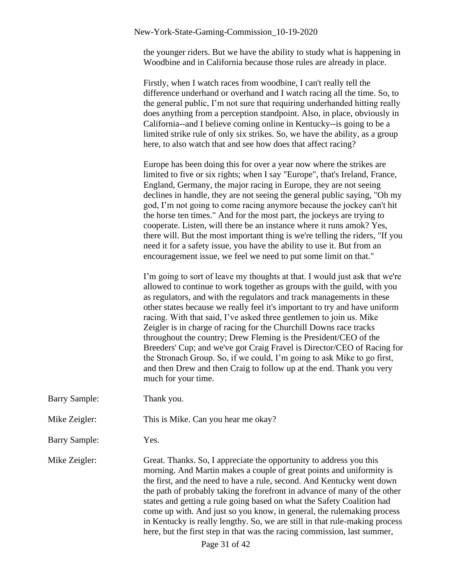the younger riders. But we have the ability to study what is happening in Woodbine and in California because those rules are already in place.

Firstly, when I watch races from woodbine, I can't really tell the difference underhand or overhand and I watch racing all the time. So, to the general public, I'm not sure that requiring underhanded hitting really does anything from a perception standpoint. Also, in place, obviously in California--and I believe coming online in Kentucky--is going to be a limited strike rule of only six strikes. So, we have the ability, as a group here, to also watch that and see how does that affect racing?

Europe has been doing this for over a year now where the strikes are limited to five or six rights; when I say "Europe", that's Ireland, France, England, Germany, the major racing in Europe, they are not seeing declines in handle, they are not seeing the general public saying, "Oh my god, I'm not going to come racing anymore because the jockey can't hit the horse ten times." And for the most part, the jockeys are trying to cooperate. Listen, will there be an instance where it runs amok? Yes, there will. But the most important thing is we're telling the riders, "If you need it for a safety issue, you have the ability to use it. But from an encouragement issue, we feel we need to put some limit on that."

I'm going to sort of leave my thoughts at that. I would just ask that we're allowed to continue to work together as groups with the guild, with you as regulators, and with the regulators and track managements in these other states because we really feel it's important to try and have uniform racing. With that said, I've asked three gentlemen to join us. Mike Zeigler is in charge of racing for the Churchill Downs race tracks throughout the country; Drew Fleming is the President/CEO of the Breeders' Cup; and we've got Craig Fravel is Director/CEO of Racing for the Stronach Group. So, if we could, I'm going to ask Mike to go first, and then Drew and then Craig to follow up at the end. Thank you very much for your time.

Barry Sample: Thank you.

### Mike Zeigler: This is Mike. Can you hear me okay?

Barry Sample: Yes.

Mike Zeigler: Great. Thanks. So, I appreciate the opportunity to address you this morning. And Martin makes a couple of great points and uniformity is the first, and the need to have a rule, second. And Kentucky went down the path of probably taking the forefront in advance of many of the other states and getting a rule going based on what the Safety Coalition had come up with. And just so you know, in general, the rulemaking process in Kentucky is really lengthy. So, we are still in that rule-making process here, but the first step in that was the racing commission, last summer,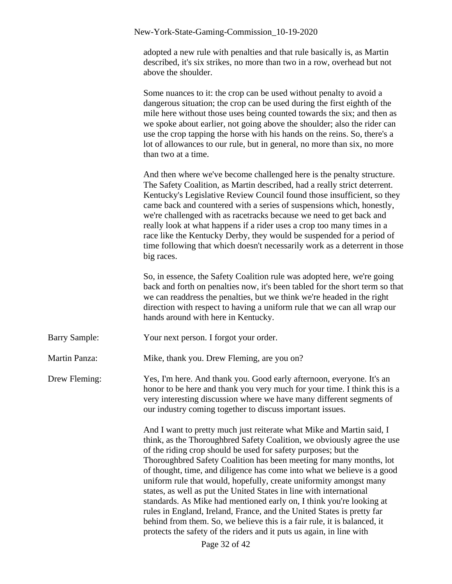adopted a new rule with penalties and that rule basically is, as Martin described, it's six strikes, no more than two in a row, overhead but not above the shoulder.

Some nuances to it: the crop can be used without penalty to avoid a dangerous situation; the crop can be used during the first eighth of the mile here without those uses being counted towards the six; and then as we spoke about earlier, not going above the shoulder; also the rider can use the crop tapping the horse with his hands on the reins. So, there's a lot of allowances to our rule, but in general, no more than six, no more than two at a time.

And then where we've become challenged here is the penalty structure. The Safety Coalition, as Martin described, had a really strict deterrent. Kentucky's Legislative Review Council found those insufficient, so they came back and countered with a series of suspensions which, honestly, we're challenged with as racetracks because we need to get back and really look at what happens if a rider uses a crop too many times in a race like the Kentucky Derby, they would be suspended for a period of time following that which doesn't necessarily work as a deterrent in those big races.

So, in essence, the Safety Coalition rule was adopted here, we're going back and forth on penalties now, it's been tabled for the short term so that we can readdress the penalties, but we think we're headed in the right direction with respect to having a uniform rule that we can all wrap our hands around with here in Kentucky.

Barry Sample: Your next person. I forgot your order.

Martin Panza: Mike, thank you. Drew Fleming, are you on?

Drew Fleming: Yes, I'm here. And thank you. Good early afternoon, everyone. It's an honor to be here and thank you very much for your time. I think this is a very interesting discussion where we have many different segments of our industry coming together to discuss important issues.

> And I want to pretty much just reiterate what Mike and Martin said, I think, as the Thoroughbred Safety Coalition, we obviously agree the use of the riding crop should be used for safety purposes; but the Thoroughbred Safety Coalition has been meeting for many months, lot of thought, time, and diligence has come into what we believe is a good uniform rule that would, hopefully, create uniformity amongst many states, as well as put the United States in line with international standards. As Mike had mentioned early on, I think you're looking at rules in England, Ireland, France, and the United States is pretty far behind from them. So, we believe this is a fair rule, it is balanced, it protects the safety of the riders and it puts us again, in line with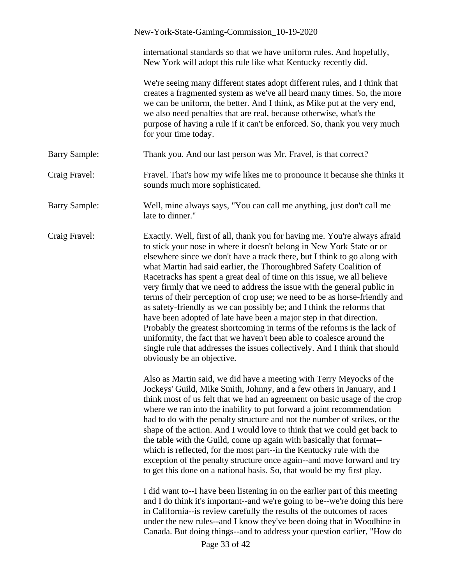|                      | New-York-State-Gaming-Commission_10-19-2020                                                                                                                                                                                                                                                                                                                                                                                                                                                                                                                                                                                                                                                                                                                                                                                                                                                                                                                    |
|----------------------|----------------------------------------------------------------------------------------------------------------------------------------------------------------------------------------------------------------------------------------------------------------------------------------------------------------------------------------------------------------------------------------------------------------------------------------------------------------------------------------------------------------------------------------------------------------------------------------------------------------------------------------------------------------------------------------------------------------------------------------------------------------------------------------------------------------------------------------------------------------------------------------------------------------------------------------------------------------|
|                      | international standards so that we have uniform rules. And hopefully,<br>New York will adopt this rule like what Kentucky recently did.                                                                                                                                                                                                                                                                                                                                                                                                                                                                                                                                                                                                                                                                                                                                                                                                                        |
|                      | We're seeing many different states adopt different rules, and I think that<br>creates a fragmented system as we've all heard many times. So, the more<br>we can be uniform, the better. And I think, as Mike put at the very end,<br>we also need penalties that are real, because otherwise, what's the<br>purpose of having a rule if it can't be enforced. So, thank you very much<br>for your time today.                                                                                                                                                                                                                                                                                                                                                                                                                                                                                                                                                  |
| <b>Barry Sample:</b> | Thank you. And our last person was Mr. Fravel, is that correct?                                                                                                                                                                                                                                                                                                                                                                                                                                                                                                                                                                                                                                                                                                                                                                                                                                                                                                |
| Craig Fravel:        | Fravel. That's how my wife likes me to pronounce it because she thinks it<br>sounds much more sophisticated.                                                                                                                                                                                                                                                                                                                                                                                                                                                                                                                                                                                                                                                                                                                                                                                                                                                   |
| <b>Barry Sample:</b> | Well, mine always says, "You can call me anything, just don't call me<br>late to dinner."                                                                                                                                                                                                                                                                                                                                                                                                                                                                                                                                                                                                                                                                                                                                                                                                                                                                      |
| Craig Fravel:        | Exactly. Well, first of all, thank you for having me. You're always afraid<br>to stick your nose in where it doesn't belong in New York State or or<br>elsewhere since we don't have a track there, but I think to go along with<br>what Martin had said earlier, the Thoroughbred Safety Coalition of<br>Racetracks has spent a great deal of time on this issue, we all believe<br>very firmly that we need to address the issue with the general public in<br>terms of their perception of crop use; we need to be as horse-friendly and<br>as safety-friendly as we can possibly be; and I think the reforms that<br>have been adopted of late have been a major step in that direction.<br>Probably the greatest shortcoming in terms of the reforms is the lack of<br>uniformity, the fact that we haven't been able to coalesce around the<br>single rule that addresses the issues collectively. And I think that should<br>obviously be an objective. |
|                      | Also as Martin said, we did have a meeting with Terry Meyocks of the<br>Jockeys' Guild, Mike Smith, Johnny, and a few others in January, and I<br>think most of us felt that we had an agreement on basic usage of the crop<br>where we ran into the inability to put forward a joint recommendation<br>had to do with the penalty structure and not the number of strikes, or the<br>shape of the action. And I would love to think that we could get back to<br>the table with the Guild, come up again with basically that format--<br>which is reflected, for the most part--in the Kentucky rule with the<br>exception of the penalty structure once again--and move forward and try<br>to get this done on a national basis. So, that would be my first play.                                                                                                                                                                                            |
|                      | I did want to--I have been listening in on the earlier part of this meeting<br>and I do think it's important--and we're going to be--we're doing this here<br>in California--is review carefully the results of the outcomes of races<br>under the new rules--and I know they've been doing that in Woodbine in<br>Canada. But doing things--and to address your question earlier, "How do<br>Page 33 of 42                                                                                                                                                                                                                                                                                                                                                                                                                                                                                                                                                    |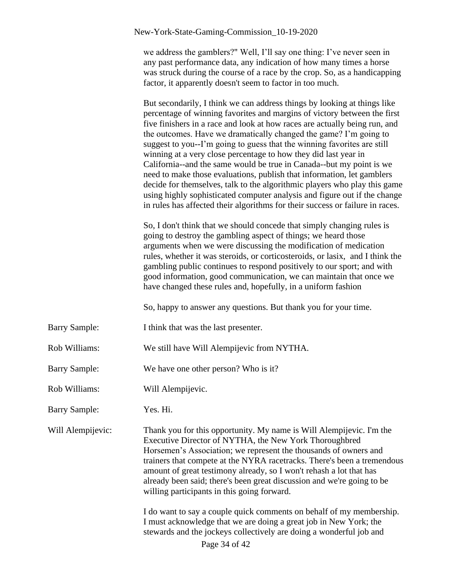| we address the gamblers?" Well, I'll say one thing: I've never seen in    |
|---------------------------------------------------------------------------|
| any past performance data, any indication of how many times a horse       |
| was struck during the course of a race by the crop. So, as a handicapping |
| factor, it apparently doesn't seem to factor in too much.                 |

But secondarily, I think we can address things by looking at things like percentage of winning favorites and margins of victory between the first five finishers in a race and look at how races are actually being run, and the outcomes. Have we dramatically changed the game? I'm going to suggest to you--I'm going to guess that the winning favorites are still winning at a very close percentage to how they did last year in California--and the same would be true in Canada--but my point is we need to make those evaluations, publish that information, let gamblers decide for themselves, talk to the algorithmic players who play this game using highly sophisticated computer analysis and figure out if the change in rules has affected their algorithms for their success or failure in races.

So, I don't think that we should concede that simply changing rules is going to destroy the gambling aspect of things; we heard those arguments when we were discussing the modification of medication rules, whether it was steroids, or corticosteroids, or lasix, and I think the gambling public continues to respond positively to our sport; and with good information, good communication, we can maintain that once we have changed these rules and, hopefully, in a uniform fashion

So, happy to answer any questions. But thank you for your time.

- Barry Sample: I think that was the last presenter.
- Rob Williams: We still have Will Alempijevic from NYTHA.
- Barry Sample: We have one other person? Who is it?
- Rob Williams: Will Alempijevic.
- Barry Sample: Yes. Hi.

Will Alempijevic: Thank you for this opportunity. My name is Will Alempijevic. I'm the Executive Director of NYTHA, the New York Thoroughbred Horsemen's Association; we represent the thousands of owners and trainers that compete at the NYRA racetracks. There's been a tremendous amount of great testimony already, so I won't rehash a lot that has already been said; there's been great discussion and we're going to be willing participants in this going forward.

> Page 34 of 42 I do want to say a couple quick comments on behalf of my membership. I must acknowledge that we are doing a great job in New York; the stewards and the jockeys collectively are doing a wonderful job and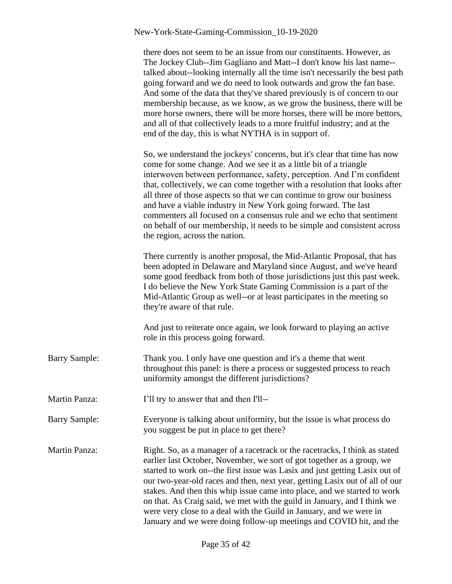|                      | there does not seem to be an issue from our constituents. However, as<br>The Jockey Club--Jim Gagliano and Matt--I don't know his last name--<br>talked about--looking internally all the time isn't necessarily the best path<br>going forward and we do need to look outwards and grow the fan base.<br>And some of the data that they've shared previously is of concern to our<br>membership because, as we know, as we grow the business, there will be<br>more horse owners, there will be more horses, there will be more bettors,<br>and all of that collectively leads to a more fruitful industry; and at the<br>end of the day, this is what NYTHA is in support of. |
|----------------------|---------------------------------------------------------------------------------------------------------------------------------------------------------------------------------------------------------------------------------------------------------------------------------------------------------------------------------------------------------------------------------------------------------------------------------------------------------------------------------------------------------------------------------------------------------------------------------------------------------------------------------------------------------------------------------|
|                      | So, we understand the jockeys' concerns, but it's clear that time has now<br>come for some change. And we see it as a little bit of a triangle<br>interwoven between performance, safety, perception. And I'm confident<br>that, collectively, we can come together with a resolution that looks after<br>all three of those aspects so that we can continue to grow our business<br>and have a viable industry in New York going forward. The last<br>commenters all focused on a consensus rule and we echo that sentiment<br>on behalf of our membership, it needs to be simple and consistent across<br>the region, across the nation.                                      |
|                      | There currently is another proposal, the Mid-Atlantic Proposal, that has<br>been adopted in Delaware and Maryland since August, and we've heard<br>some good feedback from both of those jurisdictions just this past week.<br>I do believe the New York State Gaming Commission is a part of the<br>Mid-Atlantic Group as well--or at least participates in the meeting so<br>they're aware of that rule.                                                                                                                                                                                                                                                                      |
|                      | And just to reiterate once again, we look forward to playing an active<br>role in this process going forward.                                                                                                                                                                                                                                                                                                                                                                                                                                                                                                                                                                   |
| <b>Barry Sample:</b> | Thank you. I only have one question and it's a theme that went<br>throughout this panel: is there a process or suggested process to reach<br>uniformity amongst the different jurisdictions?                                                                                                                                                                                                                                                                                                                                                                                                                                                                                    |
| <b>Martin Panza:</b> | I'll try to answer that and then I'll--                                                                                                                                                                                                                                                                                                                                                                                                                                                                                                                                                                                                                                         |
| <b>Barry Sample:</b> | Everyone is talking about uniformity, but the issue is what process do<br>you suggest be put in place to get there?                                                                                                                                                                                                                                                                                                                                                                                                                                                                                                                                                             |
| <b>Martin Panza:</b> | Right. So, as a manager of a racetrack or the racetracks, I think as stated<br>earlier last October, November, we sort of got together as a group, we<br>started to work on--the first issue was Lasix and just getting Lasix out of<br>our two-year-old races and then, next year, getting Lasix out of all of our<br>stakes. And then this whip issue came into place, and we started to work<br>on that. As Craig said, we met with the guild in January, and I think we<br>were very close to a deal with the Guild in January, and we were in<br>January and we were doing follow-up meetings and COVID hit, and the                                                       |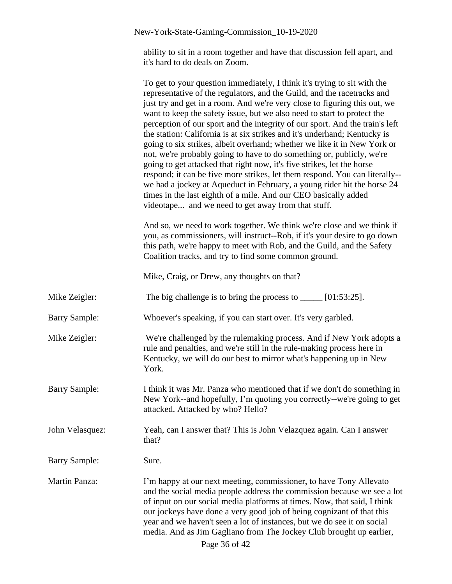ability to sit in a room together and have that discussion fell apart, and it's hard to do deals on Zoom.

|                      | To get to your question immediately, I think it's trying to sit with the<br>representative of the regulators, and the Guild, and the racetracks and<br>just try and get in a room. And we're very close to figuring this out, we<br>want to keep the safety issue, but we also need to start to protect the<br>perception of our sport and the integrity of our sport. And the train's left<br>the station: California is at six strikes and it's underhand; Kentucky is<br>going to six strikes, albeit overhand; whether we like it in New York or<br>not, we're probably going to have to do something or, publicly, we're<br>going to get attacked that right now, it's five strikes, let the horse<br>respond; it can be five more strikes, let them respond. You can literally--<br>we had a jockey at Aqueduct in February, a young rider hit the horse 24<br>times in the last eighth of a mile. And our CEO basically added<br>videotape and we need to get away from that stuff. |
|----------------------|--------------------------------------------------------------------------------------------------------------------------------------------------------------------------------------------------------------------------------------------------------------------------------------------------------------------------------------------------------------------------------------------------------------------------------------------------------------------------------------------------------------------------------------------------------------------------------------------------------------------------------------------------------------------------------------------------------------------------------------------------------------------------------------------------------------------------------------------------------------------------------------------------------------------------------------------------------------------------------------------|
|                      | And so, we need to work together. We think we're close and we think if<br>you, as commissioners, will instruct--Rob, if it's your desire to go down<br>this path, we're happy to meet with Rob, and the Guild, and the Safety<br>Coalition tracks, and try to find some common ground.                                                                                                                                                                                                                                                                                                                                                                                                                                                                                                                                                                                                                                                                                                     |
|                      | Mike, Craig, or Drew, any thoughts on that?                                                                                                                                                                                                                                                                                                                                                                                                                                                                                                                                                                                                                                                                                                                                                                                                                                                                                                                                                |
| Mike Zeigler:        | The big challenge is to bring the process to $\_\_\_\_$ [01:53:25].                                                                                                                                                                                                                                                                                                                                                                                                                                                                                                                                                                                                                                                                                                                                                                                                                                                                                                                        |
| <b>Barry Sample:</b> | Whoever's speaking, if you can start over. It's very garbled.                                                                                                                                                                                                                                                                                                                                                                                                                                                                                                                                                                                                                                                                                                                                                                                                                                                                                                                              |
| Mike Zeigler:        | We're challenged by the rulemaking process. And if New York adopts a<br>rule and penalties, and we're still in the rule-making process here in<br>Kentucky, we will do our best to mirror what's happening up in New<br>York.                                                                                                                                                                                                                                                                                                                                                                                                                                                                                                                                                                                                                                                                                                                                                              |
| <b>Barry Sample:</b> | I think it was Mr. Panza who mentioned that if we don't do something in<br>New York--and hopefully, I'm quoting you correctly--we're going to get<br>attacked. Attacked by who? Hello?                                                                                                                                                                                                                                                                                                                                                                                                                                                                                                                                                                                                                                                                                                                                                                                                     |
| John Velasquez:      | Yeah, can I answer that? This is John Velazquez again. Can I answer<br>that?                                                                                                                                                                                                                                                                                                                                                                                                                                                                                                                                                                                                                                                                                                                                                                                                                                                                                                               |
| <b>Barry Sample:</b> | Sure.                                                                                                                                                                                                                                                                                                                                                                                                                                                                                                                                                                                                                                                                                                                                                                                                                                                                                                                                                                                      |
| <b>Martin Panza:</b> | I'm happy at our next meeting, commissioner, to have Tony Allevato<br>and the social media people address the commission because we see a lot<br>of input on our social media platforms at times. Now, that said, I think<br>our jockeys have done a very good job of being cognizant of that this<br>year and we haven't seen a lot of instances, but we do see it on social<br>media. And as Jim Gagliano from The Jockey Club brought up earlier,<br>Page 36 of 42                                                                                                                                                                                                                                                                                                                                                                                                                                                                                                                      |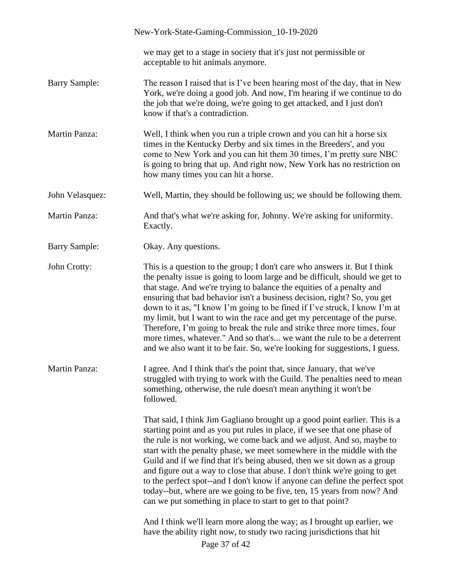|                      | New-York-State-Gaming-Commission_10-19-2020                                                                                                                                                                                                                                                                                                                                                                                                                                                                                                                                                                                                                                                                   |
|----------------------|---------------------------------------------------------------------------------------------------------------------------------------------------------------------------------------------------------------------------------------------------------------------------------------------------------------------------------------------------------------------------------------------------------------------------------------------------------------------------------------------------------------------------------------------------------------------------------------------------------------------------------------------------------------------------------------------------------------|
|                      | we may get to a stage in society that it's just not permissible or<br>acceptable to hit animals anymore.                                                                                                                                                                                                                                                                                                                                                                                                                                                                                                                                                                                                      |
| <b>Barry Sample:</b> | The reason I raised that is I've been hearing most of the day, that in New<br>York, we're doing a good job. And now, I'm hearing if we continue to do<br>the job that we're doing, we're going to get attacked, and I just don't<br>know if that's a contradiction.                                                                                                                                                                                                                                                                                                                                                                                                                                           |
| <b>Martin Panza:</b> | Well, I think when you run a triple crown and you can hit a horse six<br>times in the Kentucky Derby and six times in the Breeders', and you<br>come to New York and you can hit them 30 times, I'm pretty sure NBC<br>is going to bring that up. And right now, New York has no restriction on<br>how many times you can hit a horse.                                                                                                                                                                                                                                                                                                                                                                        |
| John Velasquez:      | Well, Martin, they should be following us; we should be following them.                                                                                                                                                                                                                                                                                                                                                                                                                                                                                                                                                                                                                                       |
| <b>Martin Panza:</b> | And that's what we're asking for, Johnny. We're asking for uniformity.<br>Exactly.                                                                                                                                                                                                                                                                                                                                                                                                                                                                                                                                                                                                                            |
| <b>Barry Sample:</b> | Okay. Any questions.                                                                                                                                                                                                                                                                                                                                                                                                                                                                                                                                                                                                                                                                                          |
| John Crotty:         | This is a question to the group; I don't care who answers it. But I think<br>the penalty issue is going to loom large and be difficult, should we get to<br>that stage. And we're trying to balance the equities of a penalty and<br>ensuring that bad behavior isn't a business decision, right? So, you get<br>down to it as, "I know I'm going to be fined if I've struck, I know I'm at<br>my limit, but I want to win the race and get my percentage of the purse.<br>Therefore, I'm going to break the rule and strike three more times, four<br>more times, whatever." And so that's we want the rule to be a deterrent<br>and we also want it to be fair. So, we're looking for suggestions, I guess. |
| <b>Martin Panza:</b> | I agree. And I think that's the point that, since January, that we've<br>struggled with trying to work with the Guild. The penalties need to mean<br>something, otherwise, the rule doesn't mean anything it won't be<br>followed.                                                                                                                                                                                                                                                                                                                                                                                                                                                                            |
|                      | That said, I think Jim Gagliano brought up a good point earlier. This is a<br>starting point and as you put rules in place, if we see that one phase of<br>the rule is not working, we come back and we adjust. And so, maybe to<br>start with the penalty phase, we meet somewhere in the middle with the<br>Guild and if we find that it's being abused, then we sit down as a group<br>and figure out a way to close that abuse. I don't think we're going to get<br>to the perfect spot--and I don't know if anyone can define the perfect spot<br>today--but, where are we going to be five, ten, 15 years from now? And<br>can we put something in place to start to get to that point?                 |
|                      | And I think we'll learn more along the way; as I brought up earlier, we<br>have the ability right now, to study two racing jurisdictions that hit<br>Page 37 of 42                                                                                                                                                                                                                                                                                                                                                                                                                                                                                                                                            |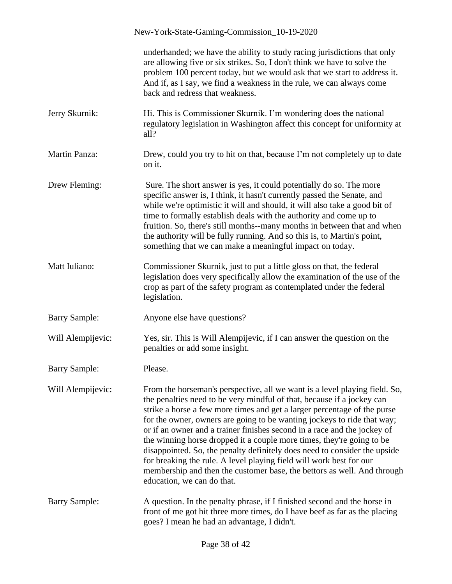|                      | New-York-State-Gaming-Commission_10-19-2020                                                                                                                                                                                                                                                                                                                                                                                                                                                                                                                                                                                                                                                                                   |
|----------------------|-------------------------------------------------------------------------------------------------------------------------------------------------------------------------------------------------------------------------------------------------------------------------------------------------------------------------------------------------------------------------------------------------------------------------------------------------------------------------------------------------------------------------------------------------------------------------------------------------------------------------------------------------------------------------------------------------------------------------------|
|                      | underhanded; we have the ability to study racing jurisdictions that only<br>are allowing five or six strikes. So, I don't think we have to solve the<br>problem 100 percent today, but we would ask that we start to address it.<br>And if, as I say, we find a weakness in the rule, we can always come<br>back and redress that weakness.                                                                                                                                                                                                                                                                                                                                                                                   |
| Jerry Skurnik:       | Hi. This is Commissioner Skurnik. I'm wondering does the national<br>regulatory legislation in Washington affect this concept for uniformity at<br>all?                                                                                                                                                                                                                                                                                                                                                                                                                                                                                                                                                                       |
| <b>Martin Panza:</b> | Drew, could you try to hit on that, because I'm not completely up to date<br>on it.                                                                                                                                                                                                                                                                                                                                                                                                                                                                                                                                                                                                                                           |
| Drew Fleming:        | Sure. The short answer is yes, it could potentially do so. The more<br>specific answer is, I think, it hasn't currently passed the Senate, and<br>while we're optimistic it will and should, it will also take a good bit of<br>time to formally establish deals with the authority and come up to<br>fruition. So, there's still months--many months in between that and when<br>the authority will be fully running. And so this is, to Martin's point,<br>something that we can make a meaningful impact on today.                                                                                                                                                                                                         |
| Matt Iuliano:        | Commissioner Skurnik, just to put a little gloss on that, the federal<br>legislation does very specifically allow the examination of the use of the<br>crop as part of the safety program as contemplated under the federal<br>legislation.                                                                                                                                                                                                                                                                                                                                                                                                                                                                                   |
| <b>Barry Sample:</b> | Anyone else have questions?                                                                                                                                                                                                                                                                                                                                                                                                                                                                                                                                                                                                                                                                                                   |
| Will Alempijevic:    | Yes, sir. This is Will Alempijevic, if I can answer the question on the<br>penalties or add some insight.                                                                                                                                                                                                                                                                                                                                                                                                                                                                                                                                                                                                                     |
| <b>Barry Sample:</b> | Please.                                                                                                                                                                                                                                                                                                                                                                                                                                                                                                                                                                                                                                                                                                                       |
| Will Alempijevic:    | From the horseman's perspective, all we want is a level playing field. So,<br>the penalties need to be very mindful of that, because if a jockey can<br>strike a horse a few more times and get a larger percentage of the purse<br>for the owner, owners are going to be wanting jockeys to ride that way;<br>or if an owner and a trainer finishes second in a race and the jockey of<br>the winning horse dropped it a couple more times, they're going to be<br>disappointed. So, the penalty definitely does need to consider the upside<br>for breaking the rule. A level playing field will work best for our<br>membership and then the customer base, the bettors as well. And through<br>education, we can do that. |
| <b>Barry Sample:</b> | A question. In the penalty phrase, if I finished second and the horse in<br>front of me got hit three more times, do I have beef as far as the placing<br>goes? I mean he had an advantage, I didn't.                                                                                                                                                                                                                                                                                                                                                                                                                                                                                                                         |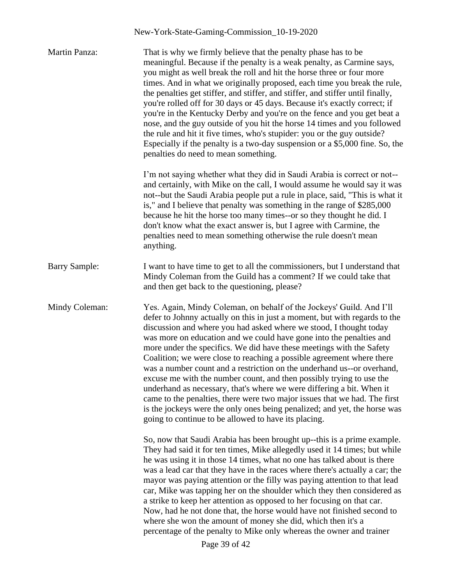| Martin Panza:        | That is why we firmly believe that the penalty phase has to be<br>meaningful. Because if the penalty is a weak penalty, as Carmine says,<br>you might as well break the roll and hit the horse three or four more<br>times. And in what we originally proposed, each time you break the rule,<br>the penalties get stiffer, and stiffer, and stiffer, and stiffer until finally,<br>you're rolled off for 30 days or 45 days. Because it's exactly correct; if<br>you're in the Kentucky Derby and you're on the fence and you get beat a<br>nose, and the guy outside of you hit the horse 14 times and you followed<br>the rule and hit it five times, who's stupider: you or the guy outside?<br>Especially if the penalty is a two-day suspension or a \$5,000 fine. So, the<br>penalties do need to mean something.                                                                      |
|----------------------|-----------------------------------------------------------------------------------------------------------------------------------------------------------------------------------------------------------------------------------------------------------------------------------------------------------------------------------------------------------------------------------------------------------------------------------------------------------------------------------------------------------------------------------------------------------------------------------------------------------------------------------------------------------------------------------------------------------------------------------------------------------------------------------------------------------------------------------------------------------------------------------------------|
|                      | I'm not saying whether what they did in Saudi Arabia is correct or not--<br>and certainly, with Mike on the call, I would assume he would say it was<br>not--but the Saudi Arabia people put a rule in place, said, "This is what it<br>is," and I believe that penalty was something in the range of \$285,000<br>because he hit the horse too many times--or so they thought he did. I<br>don't know what the exact answer is, but I agree with Carmine, the<br>penalties need to mean something otherwise the rule doesn't mean<br>anything.                                                                                                                                                                                                                                                                                                                                               |
| <b>Barry Sample:</b> | I want to have time to get to all the commissioners, but I understand that<br>Mindy Coleman from the Guild has a comment? If we could take that<br>and then get back to the questioning, please?                                                                                                                                                                                                                                                                                                                                                                                                                                                                                                                                                                                                                                                                                              |
| Mindy Coleman:       | Yes. Again, Mindy Coleman, on behalf of the Jockeys' Guild. And I'll<br>defer to Johnny actually on this in just a moment, but with regards to the<br>discussion and where you had asked where we stood, I thought today<br>was more on education and we could have gone into the penalties and<br>more under the specifics. We did have these meetings with the Safety<br>Coalition; we were close to reaching a possible agreement where there<br>was a number count and a restriction on the underhand us--or overhand,<br>excuse me with the number count, and then possibly trying to use the<br>underhand as necessary, that's where we were differing a bit. When it<br>came to the penalties, there were two major issues that we had. The first<br>is the jockeys were the only ones being penalized; and yet, the horse was<br>going to continue to be allowed to have its placing. |
|                      | So, now that Saudi Arabia has been brought up--this is a prime example.<br>They had said it for ten times, Mike allegedly used it 14 times; but while<br>he was using it in those 14 times, what no one has talked about is there<br>was a lead car that they have in the races where there's actually a car; the<br>mayor was paying attention or the filly was paying attention to that lead<br>car, Mike was tapping her on the shoulder which they then considered as<br>a strike to keep her attention as opposed to her focusing on that car.<br>Now, had he not done that, the horse would have not finished second to<br>where she won the amount of money she did, which then it's a<br>percentage of the penalty to Mike only whereas the owner and trainer<br>Page 39 of 42                                                                                                        |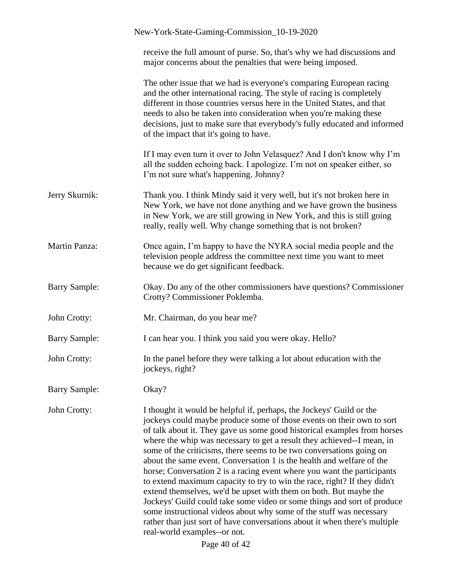|                      | New-York-State-Gaming-Commission_10-19-2020                                                                                                                                                                                                                                                                                                                                                                                                                                                                                                                                                                                                                                                                                                                                                                                                                                                                                                      |
|----------------------|--------------------------------------------------------------------------------------------------------------------------------------------------------------------------------------------------------------------------------------------------------------------------------------------------------------------------------------------------------------------------------------------------------------------------------------------------------------------------------------------------------------------------------------------------------------------------------------------------------------------------------------------------------------------------------------------------------------------------------------------------------------------------------------------------------------------------------------------------------------------------------------------------------------------------------------------------|
|                      | receive the full amount of purse. So, that's why we had discussions and<br>major concerns about the penalties that were being imposed.                                                                                                                                                                                                                                                                                                                                                                                                                                                                                                                                                                                                                                                                                                                                                                                                           |
|                      | The other issue that we had is everyone's comparing European racing<br>and the other international racing. The style of racing is completely<br>different in those countries versus here in the United States, and that<br>needs to also be taken into consideration when you're making these<br>decisions, just to make sure that everybody's fully educated and informed<br>of the impact that it's going to have.                                                                                                                                                                                                                                                                                                                                                                                                                                                                                                                             |
|                      | If I may even turn it over to John Velasquez? And I don't know why I'm<br>all the sudden echoing back. I apologize. I'm not on speaker either, so<br>I'm not sure what's happening. Johnny?                                                                                                                                                                                                                                                                                                                                                                                                                                                                                                                                                                                                                                                                                                                                                      |
| Jerry Skurnik:       | Thank you. I think Mindy said it very well, but it's not broken here in<br>New York, we have not done anything and we have grown the business<br>in New York, we are still growing in New York, and this is still going<br>really, really well. Why change something that is not broken?                                                                                                                                                                                                                                                                                                                                                                                                                                                                                                                                                                                                                                                         |
| Martin Panza:        | Once again, I'm happy to have the NYRA social media people and the<br>television people address the committee next time you want to meet<br>because we do get significant feedback.                                                                                                                                                                                                                                                                                                                                                                                                                                                                                                                                                                                                                                                                                                                                                              |
| <b>Barry Sample:</b> | Okay. Do any of the other commissioners have questions? Commissioner<br>Crotty? Commissioner Poklemba.                                                                                                                                                                                                                                                                                                                                                                                                                                                                                                                                                                                                                                                                                                                                                                                                                                           |
| John Crotty:         | Mr. Chairman, do you hear me?                                                                                                                                                                                                                                                                                                                                                                                                                                                                                                                                                                                                                                                                                                                                                                                                                                                                                                                    |
| <b>Barry Sample:</b> | I can hear you. I think you said you were okay. Hello?                                                                                                                                                                                                                                                                                                                                                                                                                                                                                                                                                                                                                                                                                                                                                                                                                                                                                           |
| John Crotty:         | In the panel before they were talking a lot about education with the<br>jockeys, right?                                                                                                                                                                                                                                                                                                                                                                                                                                                                                                                                                                                                                                                                                                                                                                                                                                                          |
| <b>Barry Sample:</b> | Okay?                                                                                                                                                                                                                                                                                                                                                                                                                                                                                                                                                                                                                                                                                                                                                                                                                                                                                                                                            |
| John Crotty:         | I thought it would be helpful if, perhaps, the Jockeys' Guild or the<br>jockeys could maybe produce some of those events on their own to sort<br>of talk about it. They gave us some good historical examples from horses<br>where the whip was necessary to get a result they achieved--I mean, in<br>some of the criticisms, there seems to be two conversations going on<br>about the same event. Conversation 1 is the health and welfare of the<br>horse; Conversation 2 is a racing event where you want the participants<br>to extend maximum capacity to try to win the race, right? If they didn't<br>extend themselves, we'd be upset with them on both. But maybe the<br>Jockeys' Guild could take some video or some things and sort of produce<br>some instructional videos about why some of the stuff was necessary<br>rather than just sort of have conversations about it when there's multiple<br>real-world examples--or not. |
|                      | Page 40 of 42                                                                                                                                                                                                                                                                                                                                                                                                                                                                                                                                                                                                                                                                                                                                                                                                                                                                                                                                    |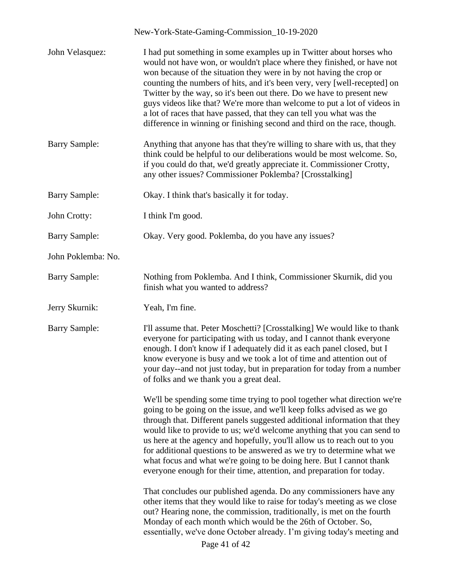| John Velasquez:      | I had put something in some examples up in Twitter about horses who<br>would not have won, or wouldn't place where they finished, or have not<br>won because of the situation they were in by not having the crop or<br>counting the numbers of hits, and it's been very, very [well-recepted] on<br>Twitter by the way, so it's been out there. Do we have to present new<br>guys videos like that? We're more than welcome to put a lot of videos in<br>a lot of races that have passed, that they can tell you what was the<br>difference in winning or finishing second and third on the race, though.       |
|----------------------|------------------------------------------------------------------------------------------------------------------------------------------------------------------------------------------------------------------------------------------------------------------------------------------------------------------------------------------------------------------------------------------------------------------------------------------------------------------------------------------------------------------------------------------------------------------------------------------------------------------|
| <b>Barry Sample:</b> | Anything that anyone has that they're willing to share with us, that they<br>think could be helpful to our deliberations would be most welcome. So,<br>if you could do that, we'd greatly appreciate it. Commissioner Crotty,<br>any other issues? Commissioner Poklemba? [Crosstalking]                                                                                                                                                                                                                                                                                                                         |
| <b>Barry Sample:</b> | Okay. I think that's basically it for today.                                                                                                                                                                                                                                                                                                                                                                                                                                                                                                                                                                     |
| John Crotty:         | I think I'm good.                                                                                                                                                                                                                                                                                                                                                                                                                                                                                                                                                                                                |
| <b>Barry Sample:</b> | Okay. Very good. Poklemba, do you have any issues?                                                                                                                                                                                                                                                                                                                                                                                                                                                                                                                                                               |
| John Poklemba: No.   |                                                                                                                                                                                                                                                                                                                                                                                                                                                                                                                                                                                                                  |
| <b>Barry Sample:</b> | Nothing from Poklemba. And I think, Commissioner Skurnik, did you<br>finish what you wanted to address?                                                                                                                                                                                                                                                                                                                                                                                                                                                                                                          |
| Jerry Skurnik:       | Yeah, I'm fine.                                                                                                                                                                                                                                                                                                                                                                                                                                                                                                                                                                                                  |
| <b>Barry Sample:</b> | I'll assume that. Peter Moschetti? [Crosstalking] We would like to thank<br>everyone for participating with us today, and I cannot thank everyone<br>enough. I don't know if I adequately did it as each panel closed, but I<br>know everyone is busy and we took a lot of time and attention out of<br>your day--and not just today, but in preparation for today from a number<br>of folks and we thank you a great deal.                                                                                                                                                                                      |
|                      | We'll be spending some time trying to pool together what direction we're<br>going to be going on the issue, and we'll keep folks advised as we go<br>through that. Different panels suggested additional information that they<br>would like to provide to us; we'd welcome anything that you can send to<br>us here at the agency and hopefully, you'll allow us to reach out to you<br>for additional questions to be answered as we try to determine what we<br>what focus and what we're going to be doing here. But I cannot thank<br>everyone enough for their time, attention, and preparation for today. |
|                      | That concludes our published agenda. Do any commissioners have any<br>other items that they would like to raise for today's meeting as we close<br>out? Hearing none, the commission, traditionally, is met on the fourth<br>Monday of each month which would be the 26th of October. So,<br>essentially, we've done October already. I'm giving today's meeting and<br>Page 41 of 42                                                                                                                                                                                                                            |